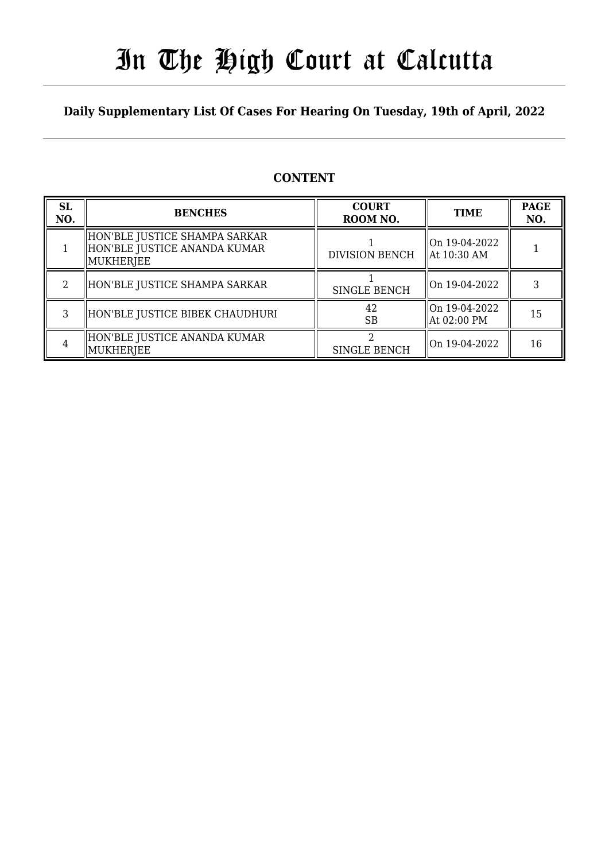# In The High Court at Calcutta

## **Daily Supplementary List Of Cases For Hearing On Tuesday, 19th of April, 2022**

## **CONTENT**

| <b>SL</b><br>NO. | <b>BENCHES</b>                                                                | <b>COURT</b><br>ROOM NO. | <b>TIME</b>                              | <b>PAGE</b><br>NO. |
|------------------|-------------------------------------------------------------------------------|--------------------------|------------------------------------------|--------------------|
|                  | HON'BLE JUSTICE SHAMPA SARKAR<br>HON'BLE JUSTICE ANANDA KUMAR <br>  MUKHERJEE | <b>DIVISION BENCH</b>    | On 19-04-2022<br>$\parallel$ At 10:30 AM |                    |
| 2                | HON'BLE JUSTICE SHAMPA SARKAR                                                 | <b>SINGLE BENCH</b>      | On 19-04-2022                            |                    |
| 3                | HON'BLE JUSTICE BIBEK CHAUDHURI                                               | 42<br><b>SB</b>          | On 19-04-2022<br>  At 02:00 PM           | 15                 |
| 4                | HON'BLE JUSTICE ANANDA KUMAR<br>MUKHERJEE                                     | <b>SINGLE BENCH</b>      | On 19-04-2022                            | 16                 |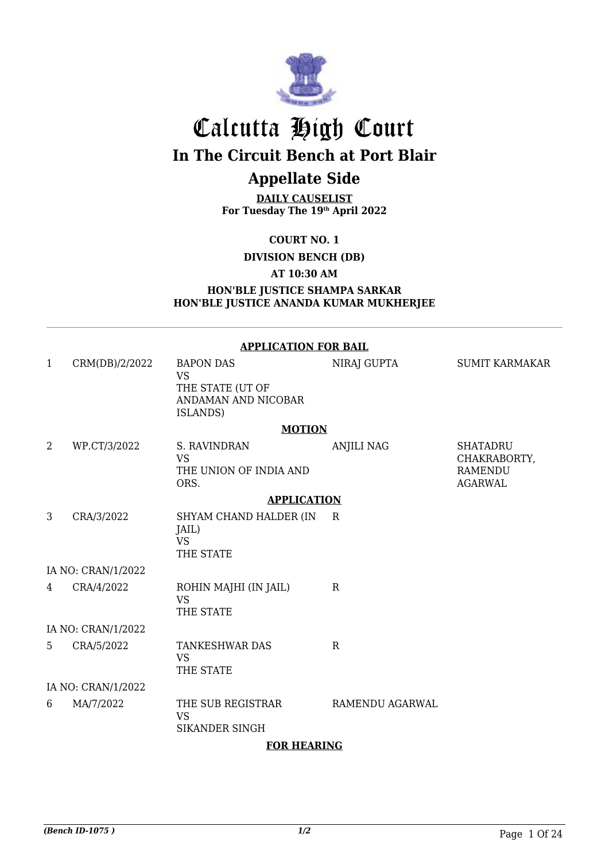

# Calcutta High Court **In The Circuit Bench at Port Blair**

## **Appellate Side**

**DAILY CAUSELIST For Tuesday The 19th April 2022**

**COURT NO. 1**

**DIVISION BENCH (DB)**

#### **AT 10:30 AM**

#### **HON'BLE JUSTICE SHAMPA SARKAR HON'BLE JUSTICE ANANDA KUMAR MUKHERJEE**

| <b>APPLICATION FOR BAIL</b> |                    |                                                                                      |                   |                                                                     |  |  |
|-----------------------------|--------------------|--------------------------------------------------------------------------------------|-------------------|---------------------------------------------------------------------|--|--|
| 1                           | CRM(DB)/2/2022     | <b>BAPON DAS</b><br><b>VS</b><br>THE STATE (UT OF<br>ANDAMAN AND NICOBAR<br>ISLANDS) | NIRAJ GUPTA       | <b>SUMIT KARMAKAR</b>                                               |  |  |
|                             |                    | <b>MOTION</b>                                                                        |                   |                                                                     |  |  |
| 2                           | WP.CT/3/2022       | S. RAVINDRAN<br><b>VS</b><br>THE UNION OF INDIA AND<br>ORS.                          | <b>ANJILI NAG</b> | <b>SHATADRU</b><br>CHAKRABORTY,<br><b>RAMENDU</b><br><b>AGARWAL</b> |  |  |
|                             |                    | <b>APPLICATION</b>                                                                   |                   |                                                                     |  |  |
| 3                           | CRA/3/2022         | SHYAM CHAND HALDER (IN<br>JAIL)<br><b>VS</b><br>THE STATE                            | $\mathbb{R}$      |                                                                     |  |  |
|                             | IA NO: CRAN/1/2022 |                                                                                      |                   |                                                                     |  |  |
| 4                           | CRA/4/2022         | ROHIN MAJHI (IN JAIL)<br><b>VS</b><br>THE STATE                                      | $\mathbf R$       |                                                                     |  |  |
|                             | IA NO: CRAN/1/2022 |                                                                                      |                   |                                                                     |  |  |
| 5                           | CRA/5/2022         | <b>TANKESHWAR DAS</b><br><b>VS</b><br>THE STATE                                      | $\mathbf R$       |                                                                     |  |  |
|                             | IA NO: CRAN/1/2022 |                                                                                      |                   |                                                                     |  |  |
| 6                           | MA/7/2022          | THE SUB REGISTRAR<br><b>VS</b><br><b>SIKANDER SINGH</b><br><b>FOR HEARING</b>        | RAMENDU AGARWAL   |                                                                     |  |  |

#### **FOR HEARING**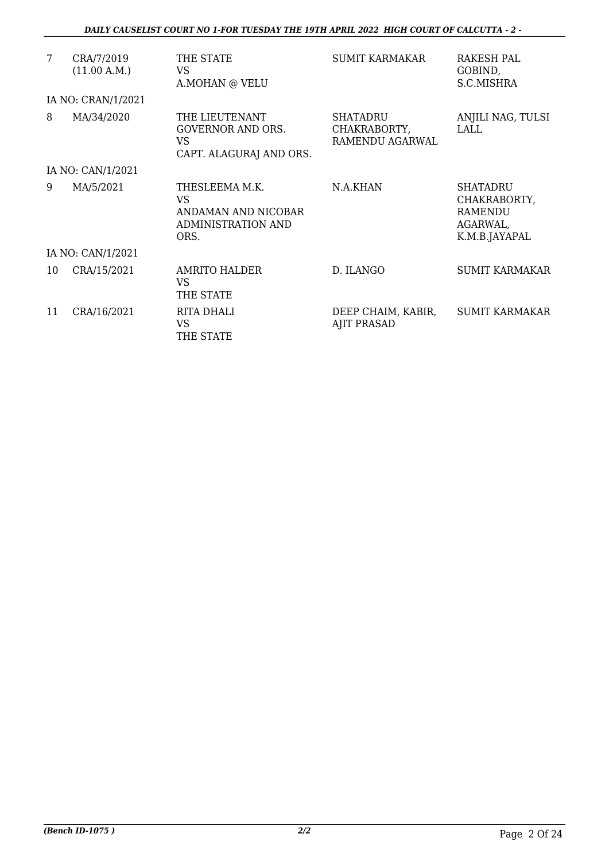| 7  | CRA/7/2019<br>(11.00 A.M.) | THE STATE<br>VS<br>A.MOHAN @ VELU                                                       | SUMIT KARMAKAR                                     | RAKESH PAL<br>GOBIND,<br>S.C.MISHRA                                     |
|----|----------------------------|-----------------------------------------------------------------------------------------|----------------------------------------------------|-------------------------------------------------------------------------|
|    | IA NO: CRAN/1/2021         |                                                                                         |                                                    |                                                                         |
| 8  | MA/34/2020                 | THE LIEUTENANT<br>GOVERNOR AND ORS.<br>VS<br>CAPT. ALAGURAJ AND ORS.                    | <b>SHATADRU</b><br>CHAKRABORTY,<br>RAMENDU AGARWAL | ANJILI NAG, TULSI<br>LALL                                               |
|    | IA NO: CAN/1/2021          |                                                                                         |                                                    |                                                                         |
| 9  | MA/5/2021                  | THESLEEMA M.K.<br><b>VS</b><br>ANDAMAN AND NICOBAR<br><b>ADMINISTRATION AND</b><br>ORS. | N.A.KHAN                                           | <b>SHATADRU</b><br>CHAKRABORTY,<br>RAMENDU<br>AGARWAL,<br>K.M.B.JAYAPAL |
|    | IA NO: CAN/1/2021          |                                                                                         |                                                    |                                                                         |
| 10 | CRA/15/2021                | AMRITO HALDER<br>VS<br>THE STATE                                                        | D. ILANGO                                          | <b>SUMIT KARMAKAR</b>                                                   |
| 11 | CRA/16/2021                | RITA DHALI<br><b>VS</b><br>THE STATE                                                    | DEEP CHAIM, KABIR,<br><b>AJIT PRASAD</b>           | <b>SUMIT KARMAKAR</b>                                                   |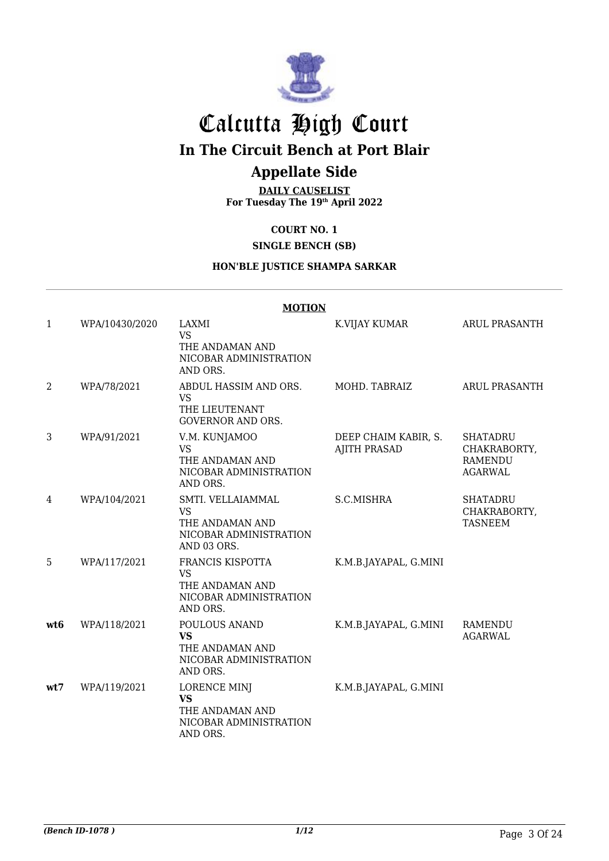

# Calcutta High Court

## **In The Circuit Bench at Port Blair**

## **Appellate Side**

**DAILY CAUSELIST For Tuesday The 19th April 2022**

## **COURT NO. 1**

#### **SINGLE BENCH (SB)**

#### **HON'BLE JUSTICE SHAMPA SARKAR**

|                 | <b>MOTION</b>  |                                                                                            |                                             |                                                                     |  |
|-----------------|----------------|--------------------------------------------------------------------------------------------|---------------------------------------------|---------------------------------------------------------------------|--|
| 1               | WPA/10430/2020 | LAXMI<br><b>VS</b><br>THE ANDAMAN AND<br>NICOBAR ADMINISTRATION<br>AND ORS.                | K.VIJAY KUMAR                               | <b>ARUL PRASANTH</b>                                                |  |
| 2               | WPA/78/2021    | ABDUL HASSIM AND ORS.<br><b>VS</b><br>THE LIEUTENANT<br><b>GOVERNOR AND ORS.</b>           | MOHD. TABRAIZ                               | <b>ARUL PRASANTH</b>                                                |  |
| 3               | WPA/91/2021    | V.M. KUNJAMOO<br><b>VS</b><br>THE ANDAMAN AND<br>NICOBAR ADMINISTRATION<br>AND ORS.        | DEEP CHAIM KABIR, S.<br><b>AJITH PRASAD</b> | <b>SHATADRU</b><br>CHAKRABORTY,<br><b>RAMENDU</b><br><b>AGARWAL</b> |  |
| 4               | WPA/104/2021   | SMTI. VELLAIAMMAL<br><b>VS</b><br>THE ANDAMAN AND<br>NICOBAR ADMINISTRATION<br>AND 03 ORS. | S.C.MISHRA                                  | <b>SHATADRU</b><br>CHAKRABORTY,<br><b>TASNEEM</b>                   |  |
| 5               | WPA/117/2021   | FRANCIS KISPOTTA<br><b>VS</b><br>THE ANDAMAN AND<br>NICOBAR ADMINISTRATION<br>AND ORS.     | K.M.B.JAYAPAL, G.MINI                       |                                                                     |  |
| wt <sub>6</sub> | WPA/118/2021   | POULOUS ANAND<br><b>VS</b><br>THE ANDAMAN AND<br>NICOBAR ADMINISTRATION<br>AND ORS.        | K.M.B.JAYAPAL, G.MINI                       | <b>RAMENDU</b><br><b>AGARWAL</b>                                    |  |
| wt7             | WPA/119/2021   | <b>LORENCE MINJ</b><br><b>VS</b><br>THE ANDAMAN AND<br>NICOBAR ADMINISTRATION<br>AND ORS.  | K.M.B.JAYAPAL, G.MINI                       |                                                                     |  |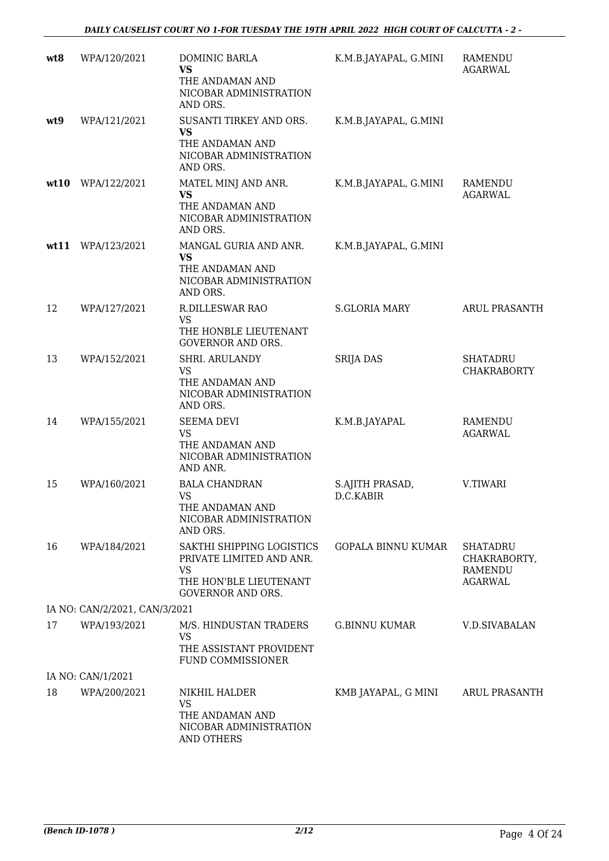| wt8  | WPA/120/2021                  | DOMINIC BARLA<br><b>VS</b><br>THE ANDAMAN AND<br>NICOBAR ADMINISTRATION<br>AND ORS.                                      | K.M.B.JAYAPAL, G.MINI        | RAMENDU<br><b>AGARWAL</b>                                    |
|------|-------------------------------|--------------------------------------------------------------------------------------------------------------------------|------------------------------|--------------------------------------------------------------|
| wt9  | WPA/121/2021                  | SUSANTI TIRKEY AND ORS.<br><b>VS</b><br>THE ANDAMAN AND<br>NICOBAR ADMINISTRATION<br>AND ORS.                            | K.M.B.JAYAPAL, G.MINI        |                                                              |
| wt10 | WPA/122/2021                  | MATEL MINJ AND ANR.<br><b>VS</b><br>THE ANDAMAN AND<br>NICOBAR ADMINISTRATION<br>AND ORS.                                | K.M.B.JAYAPAL, G.MINI        | RAMENDU<br><b>AGARWAL</b>                                    |
| wt11 | WPA/123/2021                  | MANGAL GURIA AND ANR.<br><b>VS</b><br>THE ANDAMAN AND<br>NICOBAR ADMINISTRATION<br>AND ORS.                              | K.M.B.JAYAPAL, G.MINI        |                                                              |
| 12   | WPA/127/2021                  | R.DILLESWAR RAO<br><b>VS</b><br>THE HONBLE LIEUTENANT<br><b>GOVERNOR AND ORS.</b>                                        | <b>S.GLORIA MARY</b>         | <b>ARUL PRASANTH</b>                                         |
| 13   | WPA/152/2021                  | SHRI. ARULANDY<br><b>VS</b><br>THE ANDAMAN AND<br>NICOBAR ADMINISTRATION<br>AND ORS.                                     | <b>SRIJA DAS</b>             | <b>SHATADRU</b><br><b>CHAKRABORTY</b>                        |
| 14   | WPA/155/2021                  | <b>SEEMA DEVI</b><br><b>VS</b><br>THE ANDAMAN AND<br>NICOBAR ADMINISTRATION<br>AND ANR.                                  | K.M.B.JAYAPAL                | <b>RAMENDU</b><br><b>AGARWAL</b>                             |
| 15   | WPA/160/2021                  | <b>BALA CHANDRAN</b><br><b>VS</b><br>THE ANDAMAN AND<br>NICOBAR ADMINISTRATION<br>AND ORS.                               | S.AJITH PRASAD,<br>D.C.KABIR | V.TIWARI                                                     |
| 16   | WPA/184/2021                  | SAKTHI SHIPPING LOGISTICS<br>PRIVATE LIMITED AND ANR.<br><b>VS</b><br>THE HON'BLE LIEUTENANT<br><b>GOVERNOR AND ORS.</b> | <b>GOPALA BINNU KUMAR</b>    | SHATADRU<br>CHAKRABORTY,<br><b>RAMENDU</b><br><b>AGARWAL</b> |
|      | IA NO: CAN/2/2021, CAN/3/2021 |                                                                                                                          |                              |                                                              |
| 17   | WPA/193/2021                  | M/S. HINDUSTAN TRADERS<br><b>VS</b><br>THE ASSISTANT PROVIDENT<br>FUND COMMISSIONER                                      | <b>G.BINNU KUMAR</b>         | V.D.SIVABALAN                                                |
|      | IA NO: CAN/1/2021             |                                                                                                                          |                              |                                                              |
| 18   | WPA/200/2021                  | NIKHIL HALDER<br><b>VS</b><br>THE ANDAMAN AND<br>NICOBAR ADMINISTRATION<br>AND OTHERS                                    | KMB JAYAPAL, G MINI          | <b>ARUL PRASANTH</b>                                         |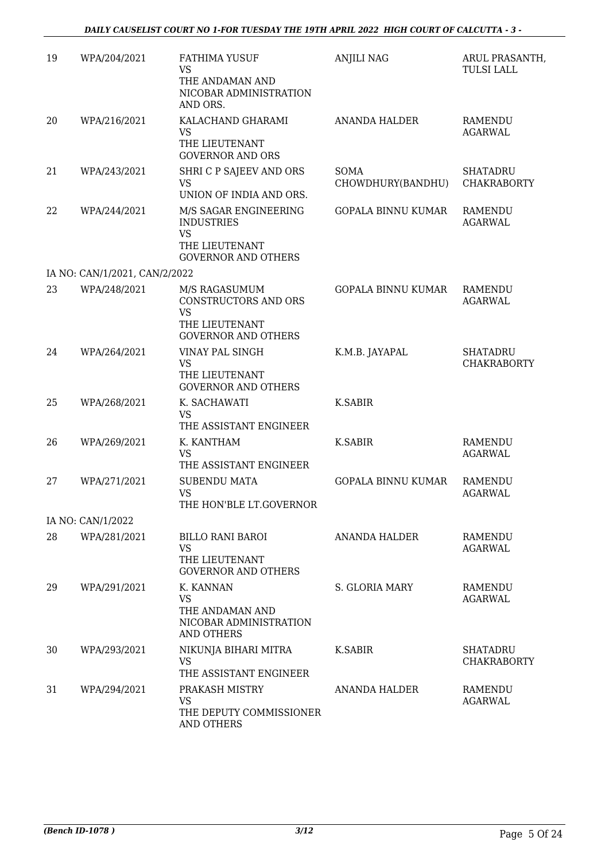| 19 | WPA/204/2021                  | <b>FATHIMA YUSUF</b><br><b>VS</b><br>THE ANDAMAN AND<br>NICOBAR ADMINISTRATION<br>AND ORS.              | <b>ANJILI NAG</b>                | ARUL PRASANTH<br><b>TULSI LALL</b>    |
|----|-------------------------------|---------------------------------------------------------------------------------------------------------|----------------------------------|---------------------------------------|
| 20 | WPA/216/2021                  | KALACHAND GHARAMI<br><b>VS</b><br>THE LIEUTENANT<br><b>GOVERNOR AND ORS</b>                             | ANANDA HALDER                    | <b>RAMENDU</b><br><b>AGARWAL</b>      |
| 21 | WPA/243/2021                  | SHRI C P SAJEEV AND ORS<br><b>VS</b><br>UNION OF INDIA AND ORS.                                         | <b>SOMA</b><br>CHOWDHURY(BANDHU) | <b>SHATADRU</b><br><b>CHAKRABORTY</b> |
| 22 | WPA/244/2021                  | M/S SAGAR ENGINEERING<br><b>INDUSTRIES</b><br><b>VS</b><br>THE LIEUTENANT<br><b>GOVERNOR AND OTHERS</b> | <b>GOPALA BINNU KUMAR</b>        | <b>RAMENDU</b><br><b>AGARWAL</b>      |
|    | IA NO: CAN/1/2021, CAN/2/2022 |                                                                                                         |                                  |                                       |
| 23 | WPA/248/2021                  | M/S RAGASUMUM<br>CONSTRUCTORS AND ORS<br><b>VS</b><br>THE LIEUTENANT<br><b>GOVERNOR AND OTHERS</b>      | <b>GOPALA BINNU KUMAR</b>        | <b>RAMENDU</b><br><b>AGARWAL</b>      |
| 24 | WPA/264/2021                  | VINAY PAL SINGH<br><b>VS</b><br>THE LIEUTENANT<br><b>GOVERNOR AND OTHERS</b>                            | K.M.B. JAYAPAL                   | <b>SHATADRU</b><br><b>CHAKRABORTY</b> |
| 25 | WPA/268/2021                  | K. SACHAWATI<br><b>VS</b><br>THE ASSISTANT ENGINEER                                                     | K.SABIR                          |                                       |
| 26 | WPA/269/2021                  | K. KANTHAM<br><b>VS</b><br>THE ASSISTANT ENGINEER                                                       | K.SABIR                          | <b>RAMENDU</b><br><b>AGARWAL</b>      |
| 27 | WPA/271/2021                  | <b>SUBENDU MATA</b><br><b>VS</b><br>THE HON'BLE LT.GOVERNOR                                             | <b>GOPALA BINNU KUMAR</b>        | <b>RAMENDU</b><br><b>AGARWAL</b>      |
|    | IA NO: CAN/1/2022             |                                                                                                         |                                  |                                       |
| 28 | WPA/281/2021                  | <b>BILLO RANI BAROI</b><br><b>VS</b><br>THE LIEUTENANT<br><b>GOVERNOR AND OTHERS</b>                    | ANANDA HALDER                    | RAMENDU<br><b>AGARWAL</b>             |
| 29 | WPA/291/2021                  | K. KANNAN<br><b>VS</b><br>THE ANDAMAN AND<br>NICOBAR ADMINISTRATION<br><b>AND OTHERS</b>                | S. GLORIA MARY                   | RAMENDU<br><b>AGARWAL</b>             |
| 30 | WPA/293/2021                  | NIKUNJA BIHARI MITRA<br><b>VS</b><br>THE ASSISTANT ENGINEER                                             | K.SABIR                          | <b>SHATADRU</b><br><b>CHAKRABORTY</b> |
| 31 | WPA/294/2021                  | PRAKASH MISTRY<br><b>VS</b><br>THE DEPUTY COMMISSIONER<br>AND OTHERS                                    | ANANDA HALDER                    | <b>RAMENDU</b><br><b>AGARWAL</b>      |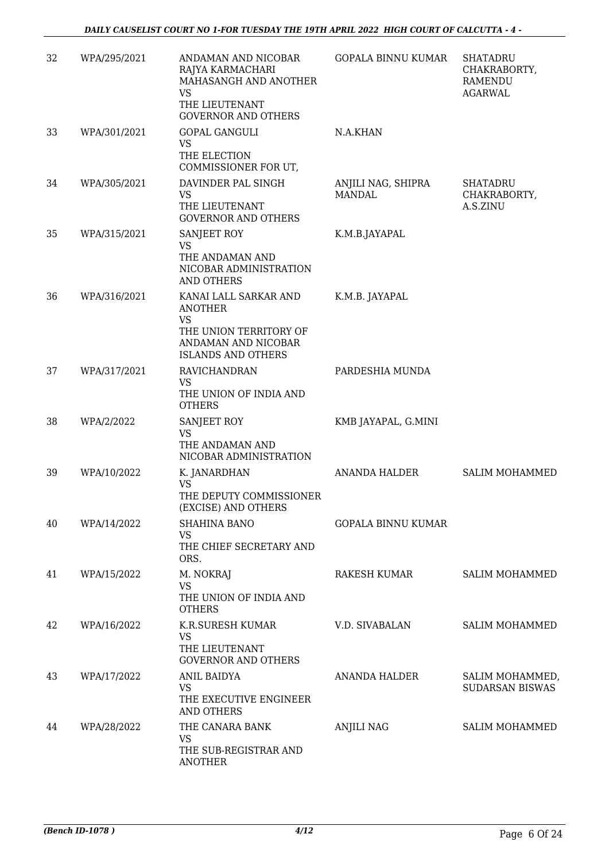| 32 | WPA/295/2021 | ANDAMAN AND NICOBAR<br>RAJYA KARMACHARI<br>MAHASANGH AND ANOTHER                                                                   | <b>GOPALA BINNU KUMAR</b>           | <b>SHATADRU</b><br>CHAKRABORTY,<br><b>RAMENDU</b> |
|----|--------------|------------------------------------------------------------------------------------------------------------------------------------|-------------------------------------|---------------------------------------------------|
|    |              | <b>VS</b><br>THE LIEUTENANT<br><b>GOVERNOR AND OTHERS</b>                                                                          |                                     | <b>AGARWAL</b>                                    |
| 33 | WPA/301/2021 | GOPAL GANGULI<br><b>VS</b><br>THE ELECTION<br>COMMISSIONER FOR UT,                                                                 | N.A.KHAN                            |                                                   |
| 34 | WPA/305/2021 | DAVINDER PAL SINGH<br><b>VS</b><br>THE LIEUTENANT<br><b>GOVERNOR AND OTHERS</b>                                                    | ANJILI NAG, SHIPRA<br><b>MANDAL</b> | SHATADRU<br>CHAKRABORTY,<br>A.S.ZINU              |
| 35 | WPA/315/2021 | SANJEET ROY<br><b>VS</b><br>THE ANDAMAN AND<br>NICOBAR ADMINISTRATION<br><b>AND OTHERS</b>                                         | K.M.B.JAYAPAL                       |                                                   |
| 36 | WPA/316/2021 | KANAI LALL SARKAR AND<br><b>ANOTHER</b><br><b>VS</b><br>THE UNION TERRITORY OF<br>ANDAMAN AND NICOBAR<br><b>ISLANDS AND OTHERS</b> | K.M.B. JAYAPAL                      |                                                   |
| 37 | WPA/317/2021 | RAVICHANDRAN<br><b>VS</b><br>THE UNION OF INDIA AND<br><b>OTHERS</b>                                                               | PARDESHIA MUNDA                     |                                                   |
| 38 | WPA/2/2022   | SANJEET ROY<br><b>VS</b><br>THE ANDAMAN AND<br>NICOBAR ADMINISTRATION                                                              | KMB JAYAPAL, G.MINI                 |                                                   |
| 39 | WPA/10/2022  | K. JANARDHAN<br><b>VS</b><br>THE DEPUTY COMMISSIONER<br>(EXCISE) AND OTHERS                                                        | ANANDA HALDER                       | SALIM MOHAMMED                                    |
| 40 | WPA/14/2022  | <b>SHAHINA BANO</b><br><b>VS</b><br>THE CHIEF SECRETARY AND<br>ORS.                                                                | <b>GOPALA BINNU KUMAR</b>           |                                                   |
| 41 | WPA/15/2022  | M. NOKRAJ<br><b>VS</b><br>THE UNION OF INDIA AND<br><b>OTHERS</b>                                                                  | RAKESH KUMAR                        | <b>SALIM MOHAMMED</b>                             |
| 42 | WPA/16/2022  | K.R.SURESH KUMAR<br><b>VS</b><br>THE LIEUTENANT<br><b>GOVERNOR AND OTHERS</b>                                                      | V.D. SIVABALAN                      | <b>SALIM MOHAMMED</b>                             |
| 43 | WPA/17/2022  | <b>ANIL BAIDYA</b><br><b>VS</b><br>THE EXECUTIVE ENGINEER<br><b>AND OTHERS</b>                                                     | ANANDA HALDER                       | SALIM MOHAMMED,<br><b>SUDARSAN BISWAS</b>         |
| 44 | WPA/28/2022  | THE CANARA BANK<br><b>VS</b><br>THE SUB-REGISTRAR AND<br><b>ANOTHER</b>                                                            | <b>ANJILI NAG</b>                   | <b>SALIM MOHAMMED</b>                             |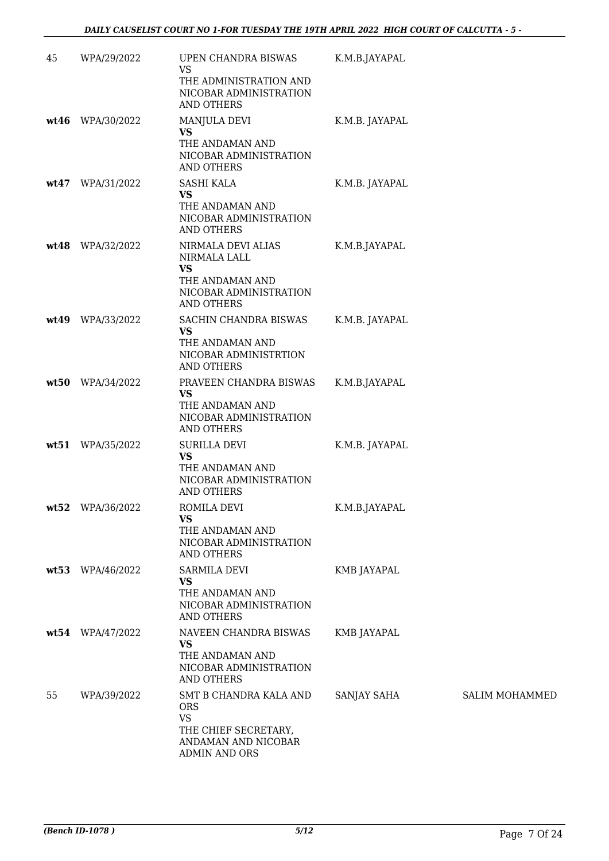| 45   | WPA/29/2022      | UPEN CHANDRA BISWAS<br><b>VS</b><br>THE ADMINISTRATION AND<br>NICOBAR ADMINISTRATION<br><b>AND OTHERS</b>         | K.M.B.JAYAPAL  |                |
|------|------------------|-------------------------------------------------------------------------------------------------------------------|----------------|----------------|
|      | wt46 WPA/30/2022 | MANJULA DEVI<br><b>VS</b><br>THE ANDAMAN AND<br>NICOBAR ADMINISTRATION<br><b>AND OTHERS</b>                       | K.M.B. JAYAPAL |                |
|      | wt47 WPA/31/2022 | <b>SASHI KALA</b><br><b>VS</b><br>THE ANDAMAN AND<br>NICOBAR ADMINISTRATION<br>AND OTHERS                         | K.M.B. JAYAPAL |                |
|      | wt48 WPA/32/2022 | NIRMALA DEVI ALIAS<br>NIRMALA LALL<br><b>VS</b><br>THE ANDAMAN AND<br>NICOBAR ADMINISTRATION<br>AND OTHERS        | K.M.B.JAYAPAL  |                |
| wt49 | WPA/33/2022      | SACHIN CHANDRA BISWAS<br><b>VS</b><br>THE ANDAMAN AND<br>NICOBAR ADMINISTRTION<br>AND OTHERS                      | K.M.B. JAYAPAL |                |
| wt50 | WPA/34/2022      | PRAVEEN CHANDRA BISWAS<br><b>VS</b><br>THE ANDAMAN AND<br>NICOBAR ADMINISTRATION<br>AND OTHERS                    | K.M.B.JAYAPAL  |                |
| wt51 | WPA/35/2022      | <b>SURILLA DEVI</b><br><b>VS</b><br>THE ANDAMAN AND<br>NICOBAR ADMINISTRATION<br><b>AND OTHERS</b>                | K.M.B. JAYAPAL |                |
|      | wt52 WPA/36/2022 | ROMILA DEVI<br><b>VS</b><br>THE ANDAMAN AND<br>NICOBAR ADMINISTRATION<br>AND OTHERS                               | K.M.B.JAYAPAL  |                |
|      | wt53 WPA/46/2022 | <b>SARMILA DEVI</b><br><b>VS</b><br>THE ANDAMAN AND<br>NICOBAR ADMINISTRATION<br><b>AND OTHERS</b>                | KMB JAYAPAL    |                |
|      | wt54 WPA/47/2022 | NAVEEN CHANDRA BISWAS<br><b>VS</b><br>THE ANDAMAN AND<br>NICOBAR ADMINISTRATION<br><b>AND OTHERS</b>              | KMB JAYAPAL    |                |
| 55   | WPA/39/2022      | SMT B CHANDRA KALA AND<br><b>ORS</b><br><b>VS</b><br>THE CHIEF SECRETARY,<br>ANDAMAN AND NICOBAR<br>ADMIN AND ORS | SANJAY SAHA    | SALIM MOHAMMED |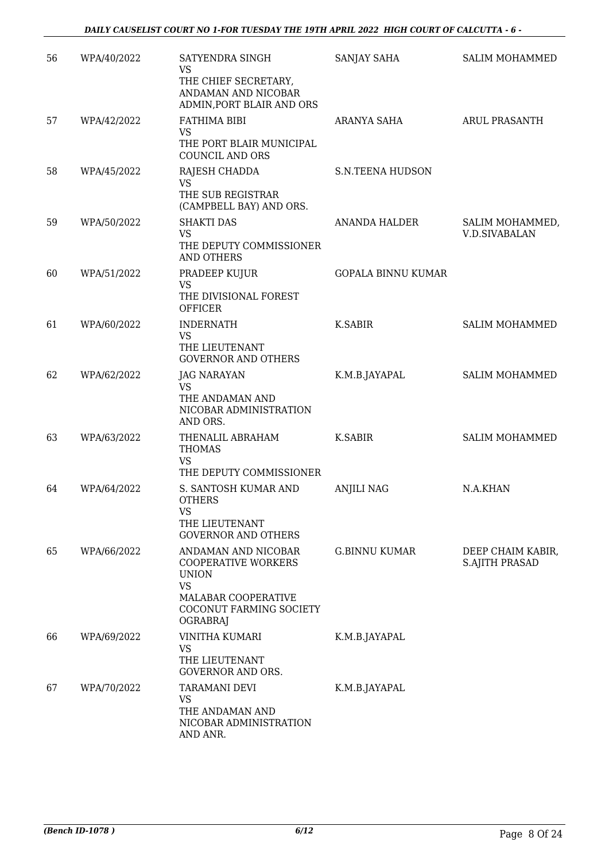| 56 | WPA/40/2022 | SATYENDRA SINGH<br><b>VS</b><br>THE CHIEF SECRETARY,<br>ANDAMAN AND NICOBAR<br>ADMIN, PORT BLAIR AND ORS                                            | SANJAY SAHA               | <b>SALIM MOHAMMED</b>                      |
|----|-------------|-----------------------------------------------------------------------------------------------------------------------------------------------------|---------------------------|--------------------------------------------|
| 57 | WPA/42/2022 | FATHIMA BIBI<br><b>VS</b><br>THE PORT BLAIR MUNICIPAL<br><b>COUNCIL AND ORS</b>                                                                     | ARANYA SAHA               | <b>ARUL PRASANTH</b>                       |
| 58 | WPA/45/2022 | RAJESH CHADDA<br><b>VS</b><br>THE SUB REGISTRAR<br>(CAMPBELL BAY) AND ORS.                                                                          | <b>S.N.TEENA HUDSON</b>   |                                            |
| 59 | WPA/50/2022 | <b>SHAKTI DAS</b><br><b>VS</b><br>THE DEPUTY COMMISSIONER<br>AND OTHERS                                                                             | <b>ANANDA HALDER</b>      | SALIM MOHAMMED,<br><b>V.D.SIVABALAN</b>    |
| 60 | WPA/51/2022 | PRADEEP KUJUR<br><b>VS</b><br>THE DIVISIONAL FOREST<br><b>OFFICER</b>                                                                               | <b>GOPALA BINNU KUMAR</b> |                                            |
| 61 | WPA/60/2022 | <b>INDERNATH</b><br><b>VS</b><br>THE LIEUTENANT<br><b>GOVERNOR AND OTHERS</b>                                                                       | <b>K.SABIR</b>            | <b>SALIM MOHAMMED</b>                      |
| 62 | WPA/62/2022 | <b>JAG NARAYAN</b><br><b>VS</b><br>THE ANDAMAN AND<br>NICOBAR ADMINISTRATION<br>AND ORS.                                                            | K.M.B.JAYAPAL             | <b>SALIM MOHAMMED</b>                      |
| 63 | WPA/63/2022 | THENALIL ABRAHAM<br><b>THOMAS</b><br><b>VS</b><br>THE DEPUTY COMMISSIONER                                                                           | K.SABIR                   | <b>SALIM MOHAMMED</b>                      |
| 64 | WPA/64/2022 | S. SANTOSH KUMAR AND<br><b>OTHERS</b><br><b>VS</b><br>THE LIEUTENANT<br><b>GOVERNOR AND OTHERS</b>                                                  | <b>ANJILI NAG</b>         | N.A.KHAN                                   |
| 65 | WPA/66/2022 | ANDAMAN AND NICOBAR<br><b>COOPERATIVE WORKERS</b><br><b>UNION</b><br><b>VS</b><br>MALABAR COOPERATIVE<br>COCONUT FARMING SOCIETY<br><b>OGRABRAJ</b> | G.BINNU KUMAR             | DEEP CHAIM KABIR,<br><b>S.AJITH PRASAD</b> |
| 66 | WPA/69/2022 | <b>VINITHA KUMARI</b><br><b>VS</b><br>THE LIEUTENANT<br><b>GOVERNOR AND ORS.</b>                                                                    | K.M.B.JAYAPAL             |                                            |
| 67 | WPA/70/2022 | <b>TARAMANI DEVI</b><br><b>VS</b><br>THE ANDAMAN AND<br>NICOBAR ADMINISTRATION<br>AND ANR.                                                          | K.M.B.JAYAPAL             |                                            |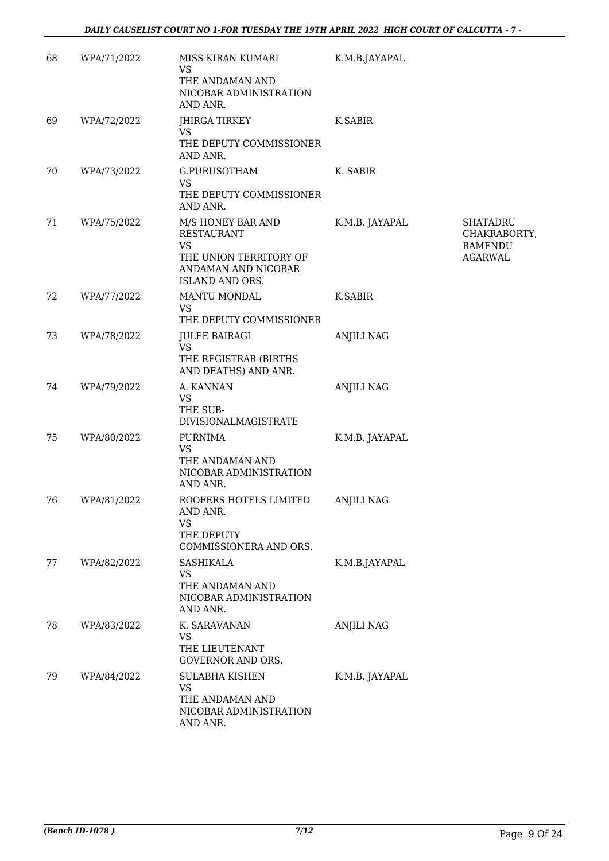| 68 | WPA/71/2022 | MISS KIRAN KUMARI<br><b>VS</b><br>THE ANDAMAN AND<br>NICOBAR ADMINISTRATION<br>AND ANR.     | K.M.B.JAYAPAL     |                                                              |
|----|-------------|---------------------------------------------------------------------------------------------|-------------------|--------------------------------------------------------------|
| 69 | WPA/72/2022 | <b>JHIRGA TIRKEY</b><br>VS.                                                                 | K.SABIR           |                                                              |
|    |             | THE DEPUTY COMMISSIONER<br>AND ANR.                                                         |                   |                                                              |
| 70 | WPA/73/2022 | G.PURUSOTHAM<br><b>VS</b><br>THE DEPUTY COMMISSIONER<br>AND ANR.                            | K. SABIR          |                                                              |
| 71 | WPA/75/2022 | M/S HONEY BAR AND<br><b>RESTAURANT</b><br><b>VS</b><br>THE UNION TERRITORY OF               | K.M.B. JAYAPAL    | <b>SHATADRU</b><br>CHAKRABORTY,<br>RAMENDU<br><b>AGARWAL</b> |
|    |             | ANDAMAN AND NICOBAR<br>ISLAND AND ORS.                                                      |                   |                                                              |
| 72 | WPA/77/2022 | MANTU MONDAL<br><b>VS</b><br>THE DEPUTY COMMISSIONER                                        | <b>K.SABIR</b>    |                                                              |
| 73 | WPA/78/2022 | <b>JULEE BAIRAGI</b><br><b>VS</b><br>THE REGISTRAR (BIRTHS                                  | <b>ANJILI NAG</b> |                                                              |
| 74 | WPA/79/2022 | AND DEATHS) AND ANR.<br>A. KANNAN                                                           | <b>ANJILI NAG</b> |                                                              |
|    |             | <b>VS</b><br>THE SUB-<br><b>DIVISIONALMAGISTRATE</b>                                        |                   |                                                              |
| 75 | WPA/80/2022 | <b>PURNIMA</b><br><b>VS</b><br>THE ANDAMAN AND<br>NICOBAR ADMINISTRATION<br>AND ANR.        | K.M.B. JAYAPAL    |                                                              |
| 76 | WPA/81/2022 | ROOFERS HOTELS LIMITED<br>AND ANR.<br><b>VS</b><br>THE DEPUTY<br>COMMISSIONERA AND ORS.     | <b>ANJILI NAG</b> |                                                              |
| 77 | WPA/82/2022 | <b>SASHIKALA</b><br><b>VS</b><br>THE ANDAMAN AND<br>NICOBAR ADMINISTRATION<br>AND ANR.      | K.M.B.JAYAPAL     |                                                              |
| 78 | WPA/83/2022 | K. SARAVANAN<br><b>VS</b><br>THE LIEUTENANT<br><b>GOVERNOR AND ORS.</b>                     | <b>ANJILI NAG</b> |                                                              |
| 79 | WPA/84/2022 | <b>SULABHA KISHEN</b><br><b>VS</b><br>THE ANDAMAN AND<br>NICOBAR ADMINISTRATION<br>AND ANR. | K.M.B. JAYAPAL    |                                                              |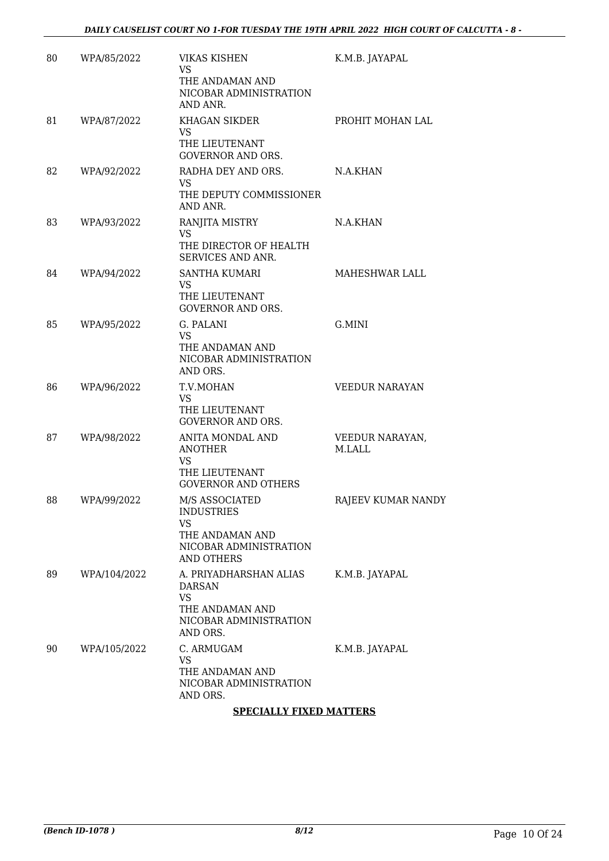| 80 | WPA/85/2022  | <b>VIKAS KISHEN</b><br><b>VS</b><br>THE ANDAMAN AND<br>NICOBAR ADMINISTRATION<br>AND ANR.                     | K.M.B. JAYAPAL            |
|----|--------------|---------------------------------------------------------------------------------------------------------------|---------------------------|
| 81 | WPA/87/2022  | <b>KHAGAN SIKDER</b><br><b>VS</b><br>THE LIEUTENANT<br><b>GOVERNOR AND ORS.</b>                               | PROHIT MOHAN LAL          |
| 82 | WPA/92/2022  | RADHA DEY AND ORS.<br>VS.<br>THE DEPUTY COMMISSIONER<br>AND ANR.                                              | N.A.KHAN                  |
| 83 | WPA/93/2022  | RANJITA MISTRY<br><b>VS</b><br>THE DIRECTOR OF HEALTH<br>SERVICES AND ANR.                                    | N.A.KHAN                  |
| 84 | WPA/94/2022  | <b>SANTHA KUMARI</b><br>VS.<br>THE LIEUTENANT<br>GOVERNOR AND ORS.                                            | MAHESHWAR LALL            |
| 85 | WPA/95/2022  | G. PALANI<br><b>VS</b><br>THE ANDAMAN AND<br>NICOBAR ADMINISTRATION<br>AND ORS.                               | G.MINI                    |
| 86 | WPA/96/2022  | T.V.MOHAN<br><b>VS</b><br>THE LIEUTENANT<br><b>GOVERNOR AND ORS.</b>                                          | <b>VEEDUR NARAYAN</b>     |
| 87 | WPA/98/2022  | ANITA MONDAL AND<br><b>ANOTHER</b><br><b>VS</b><br>THE LIEUTENANT<br><b>GOVERNOR AND OTHERS</b>               | VEEDUR NARAYAN,<br>M.LALL |
| 88 | WPA/99/2022  | M/S ASSOCIATED<br><b>INDUSTRIES</b><br>VS.<br>THE ANDAMAN AND<br>NICOBAR ADMINISTRATION<br><b>AND OTHERS</b>  | RAJEEV KUMAR NANDY        |
| 89 | WPA/104/2022 | A. PRIYADHARSHAN ALIAS<br><b>DARSAN</b><br><b>VS</b><br>THE ANDAMAN AND<br>NICOBAR ADMINISTRATION<br>AND ORS. | K.M.B. JAYAPAL            |
| 90 | WPA/105/2022 | C. ARMUGAM<br><b>VS</b><br>THE ANDAMAN AND<br>NICOBAR ADMINISTRATION<br>AND ORS.                              | K.M.B. JAYAPAL            |

### **SPECIALLY FIXED MATTERS**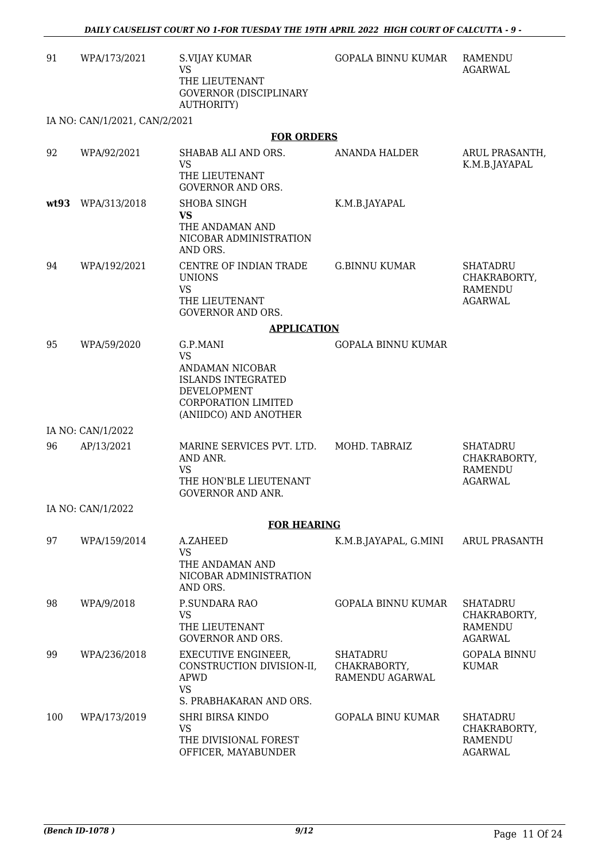| 91   | WPA/173/2021                  | <b>S.VIJAY KUMAR</b><br><b>VS</b><br>THE LIEUTENANT<br><b>GOVERNOR (DISCIPLINARY</b><br><b>AUTHORITY)</b>                                          | <b>GOPALA BINNU KUMAR</b>                          | RAMENDU<br><b>AGARWAL</b>                                           |  |  |
|------|-------------------------------|----------------------------------------------------------------------------------------------------------------------------------------------------|----------------------------------------------------|---------------------------------------------------------------------|--|--|
|      | IA NO: CAN/1/2021, CAN/2/2021 |                                                                                                                                                    |                                                    |                                                                     |  |  |
|      |                               | <b>FOR ORDERS</b>                                                                                                                                  |                                                    |                                                                     |  |  |
| 92   | WPA/92/2021                   | SHABAB ALI AND ORS.<br><b>VS</b><br>THE LIEUTENANT<br><b>GOVERNOR AND ORS.</b>                                                                     | ANANDA HALDER                                      | ARUL PRASANTH,<br>K.M.B.JAYAPAL                                     |  |  |
| wt93 | WPA/313/2018                  | <b>SHOBA SINGH</b><br><b>VS</b><br>THE ANDAMAN AND<br>NICOBAR ADMINISTRATION<br>AND ORS.                                                           | K.M.B.JAYAPAL                                      |                                                                     |  |  |
| 94   | WPA/192/2021                  | CENTRE OF INDIAN TRADE<br><b>UNIONS</b><br><b>VS</b><br>THE LIEUTENANT<br><b>GOVERNOR AND ORS.</b>                                                 | <b>G.BINNU KUMAR</b>                               | <b>SHATADRU</b><br>CHAKRABORTY,<br><b>RAMENDU</b><br><b>AGARWAL</b> |  |  |
|      | <b>APPLICATION</b>            |                                                                                                                                                    |                                                    |                                                                     |  |  |
| 95   | WPA/59/2020                   | G.P.MANI<br><b>VS</b><br>ANDAMAN NICOBAR<br><b>ISLANDS INTEGRATED</b><br><b>DEVELOPMENT</b><br><b>CORPORATION LIMITED</b><br>(ANIIDCO) AND ANOTHER | <b>GOPALA BINNU KUMAR</b>                          |                                                                     |  |  |
|      | IA NO: CAN/1/2022             |                                                                                                                                                    |                                                    |                                                                     |  |  |
| 96   | AP/13/2021                    | MARINE SERVICES PVT. LTD.<br>AND ANR.<br><b>VS</b><br>THE HON'BLE LIEUTENANT<br><b>GOVERNOR AND ANR.</b>                                           | MOHD. TABRAIZ                                      | <b>SHATADRU</b><br>CHAKRABORTY,<br><b>RAMENDU</b><br><b>AGARWAL</b> |  |  |
|      | IA NO: CAN/1/2022             |                                                                                                                                                    |                                                    |                                                                     |  |  |
|      |                               | <b>FOR HEARING</b>                                                                                                                                 |                                                    |                                                                     |  |  |
| 97   | WPA/159/2014                  | A.ZAHEED<br><b>VS</b><br>THE ANDAMAN AND<br>NICOBAR ADMINISTRATION<br>AND ORS.                                                                     | K.M.B.JAYAPAL, G.MINI                              | ARUL PRASANTH                                                       |  |  |
| 98   | WPA/9/2018                    | P.SUNDARA RAO<br><b>VS</b><br>THE LIEUTENANT<br><b>GOVERNOR AND ORS.</b>                                                                           | <b>GOPALA BINNU KUMAR</b>                          | SHATADRU<br>CHAKRABORTY,<br><b>RAMENDU</b><br><b>AGARWAL</b>        |  |  |
| 99   | WPA/236/2018                  | EXECUTIVE ENGINEER,<br>CONSTRUCTION DIVISION-II,<br><b>APWD</b><br><b>VS</b><br>S. PRABHAKARAN AND ORS.                                            | <b>SHATADRU</b><br>CHAKRABORTY,<br>RAMENDU AGARWAL | <b>GOPALA BINNU</b><br><b>KUMAR</b>                                 |  |  |
| 100  | WPA/173/2019                  | SHRI BIRSA KINDO<br><b>VS</b><br>THE DIVISIONAL FOREST<br>OFFICER, MAYABUNDER                                                                      | <b>GOPALA BINU KUMAR</b>                           | <b>SHATADRU</b><br>CHAKRABORTY,<br><b>RAMENDU</b><br><b>AGARWAL</b> |  |  |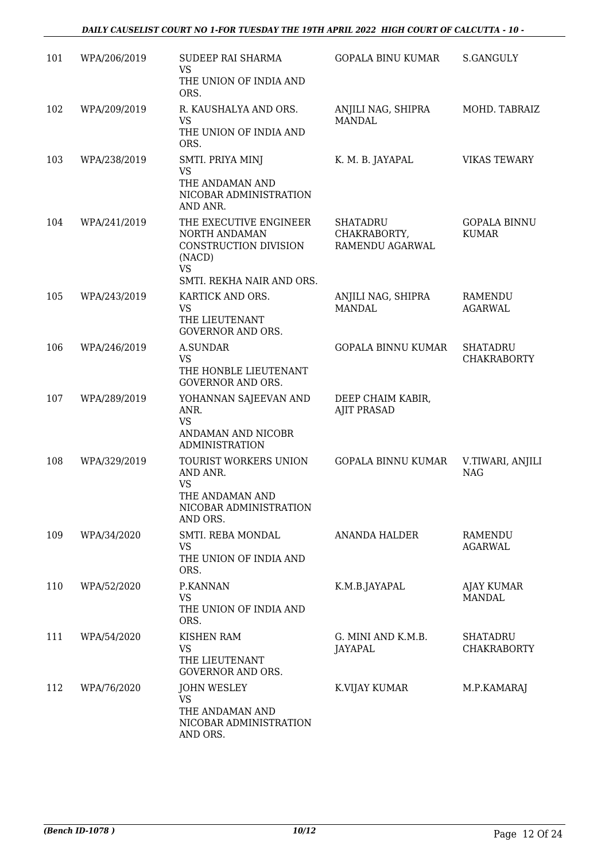| 101 | WPA/206/2019 | <b>SUDEEP RAI SHARMA</b><br>VS<br>THE UNION OF INDIA AND                                                             | <b>GOPALA BINU KUMAR</b>                           | <b>S.GANGULY</b>                      |
|-----|--------------|----------------------------------------------------------------------------------------------------------------------|----------------------------------------------------|---------------------------------------|
|     |              | ORS.                                                                                                                 |                                                    |                                       |
| 102 | WPA/209/2019 | R. KAUSHALYA AND ORS.<br><b>VS</b>                                                                                   | ANJILI NAG, SHIPRA<br>MANDAL.                      | MOHD. TABRAIZ                         |
|     |              | THE UNION OF INDIA AND<br>ORS.                                                                                       |                                                    |                                       |
| 103 | WPA/238/2019 | SMTI. PRIYA MINJ<br><b>VS</b><br>THE ANDAMAN AND<br>NICOBAR ADMINISTRATION<br>AND ANR.                               | K. M. B. JAYAPAL                                   | <b>VIKAS TEWARY</b>                   |
| 104 | WPA/241/2019 | THE EXECUTIVE ENGINEER<br>NORTH ANDAMAN<br>CONSTRUCTION DIVISION<br>(NACD)<br><b>VS</b><br>SMTI. REKHA NAIR AND ORS. | <b>SHATADRU</b><br>CHAKRABORTY,<br>RAMENDU AGARWAL | <b>GOPALA BINNU</b><br><b>KUMAR</b>   |
| 105 | WPA/243/2019 | KARTICK AND ORS.<br><b>VS</b><br>THE LIEUTENANT<br><b>GOVERNOR AND ORS.</b>                                          | ANJILI NAG, SHIPRA<br><b>MANDAL</b>                | RAMENDU<br><b>AGARWAL</b>             |
| 106 | WPA/246/2019 | <b>A.SUNDAR</b><br><b>VS</b>                                                                                         | <b>GOPALA BINNU KUMAR</b>                          | <b>SHATADRU</b><br><b>CHAKRABORTY</b> |
|     |              | THE HONBLE LIEUTENANT<br><b>GOVERNOR AND ORS.</b>                                                                    |                                                    |                                       |
| 107 | WPA/289/2019 | YOHANNAN SAJEEVAN AND<br>ANR.<br><b>VS</b><br>ANDAMAN AND NICOBR<br><b>ADMINISTRATION</b>                            | DEEP CHAIM KABIR,<br><b>AJIT PRASAD</b>            |                                       |
| 108 | WPA/329/2019 | TOURIST WORKERS UNION<br>AND ANR.<br><b>VS</b><br>THE ANDAMAN AND<br>NICOBAR ADMINISTRATION<br>AND ORS.              | <b>GOPALA BINNU KUMAR</b>                          | V.TIWARI, ANJILI<br><b>NAG</b>        |
| 109 | WPA/34/2020  | SMTI. REBA MONDAL<br><b>VS</b><br>THE UNION OF INDIA AND<br>ORS.                                                     | ANANDA HALDER                                      | RAMENDU<br><b>AGARWAL</b>             |
| 110 | WPA/52/2020  | P.KANNAN<br><b>VS</b><br>THE UNION OF INDIA AND<br>ORS.                                                              | K.M.B.JAYAPAL                                      | AJAY KUMAR<br><b>MANDAL</b>           |
| 111 | WPA/54/2020  | <b>KISHEN RAM</b><br><b>VS</b><br>THE LIEUTENANT<br><b>GOVERNOR AND ORS.</b>                                         | G. MINI AND K.M.B.<br><b>JAYAPAL</b>               | SHATADRU<br><b>CHAKRABORTY</b>        |
| 112 | WPA/76/2020  | <b>JOHN WESLEY</b><br><b>VS</b><br>THE ANDAMAN AND<br>NICOBAR ADMINISTRATION<br>AND ORS.                             | K.VIJAY KUMAR                                      | M.P.KAMARAJ                           |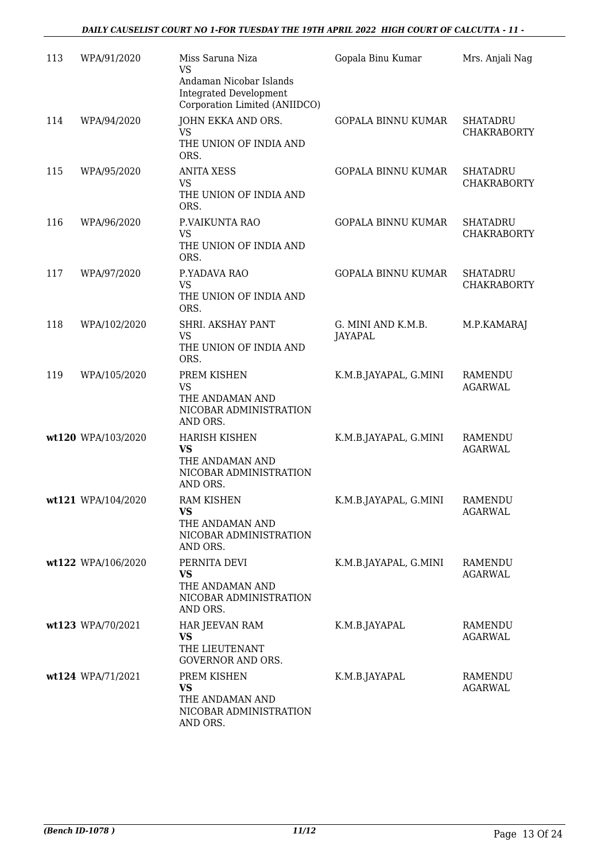| 113 | WPA/91/2020        | Miss Saruna Niza<br><b>VS</b>                                                              | Gopala Binu Kumar             | Mrs. Anjali Nag                       |
|-----|--------------------|--------------------------------------------------------------------------------------------|-------------------------------|---------------------------------------|
|     |                    | Andaman Nicobar Islands<br><b>Integrated Development</b><br>Corporation Limited (ANIIDCO)  |                               |                                       |
| 114 | WPA/94/2020        | JOHN EKKA AND ORS.<br>VS<br>THE UNION OF INDIA AND<br>ORS.                                 | <b>GOPALA BINNU KUMAR</b>     | <b>SHATADRU</b><br>CHAKRABORTY        |
| 115 | WPA/95/2020        | <b>ANITA XESS</b><br><b>VS</b><br>THE UNION OF INDIA AND<br>ORS.                           | <b>GOPALA BINNU KUMAR</b>     | <b>SHATADRU</b><br><b>CHAKRABORTY</b> |
| 116 | WPA/96/2020        | P.VAIKUNTA RAO<br><b>VS</b><br>THE UNION OF INDIA AND<br>ORS.                              | <b>GOPALA BINNU KUMAR</b>     | <b>SHATADRU</b><br><b>CHAKRABORTY</b> |
| 117 | WPA/97/2020        | P.YADAVA RAO<br><b>VS</b><br>THE UNION OF INDIA AND<br>ORS.                                | <b>GOPALA BINNU KUMAR</b>     | <b>SHATADRU</b><br><b>CHAKRABORTY</b> |
| 118 | WPA/102/2020       | SHRI. AKSHAY PANT<br><b>VS</b><br>THE UNION OF INDIA AND<br>ORS.                           | G. MINI AND K.M.B.<br>JAYAPAL | M.P.KAMARAJ                           |
| 119 | WPA/105/2020       | PREM KISHEN<br><b>VS</b><br>THE ANDAMAN AND<br>NICOBAR ADMINISTRATION<br>AND ORS.          | K.M.B.JAYAPAL, G.MINI         | <b>RAMENDU</b><br><b>AGARWAL</b>      |
|     | wt120 WPA/103/2020 | <b>HARISH KISHEN</b><br><b>VS</b><br>THE ANDAMAN AND<br>NICOBAR ADMINISTRATION<br>AND ORS. | K.M.B.JAYAPAL, G.MINI         | <b>RAMENDU</b><br><b>AGARWAL</b>      |
|     | wt121 WPA/104/2020 | RAM KISHEN<br><b>VS</b><br>THE ANDAMAN AND<br>NICOBAR ADMINISTRATION<br>AND ORS.           | K.M.B.JAYAPAL, G.MINI         | RAMENDU<br><b>AGARWAL</b>             |
|     | wt122 WPA/106/2020 | PERNITA DEVI<br><b>VS</b><br>THE ANDAMAN AND<br>NICOBAR ADMINISTRATION<br>AND ORS.         | K.M.B.JAYAPAL, G.MINI         | RAMENDU<br><b>AGARWAL</b>             |
|     | wt123 WPA/70/2021  | HAR JEEVAN RAM<br><b>VS</b><br>THE LIEUTENANT<br><b>GOVERNOR AND ORS.</b>                  | K.M.B.JAYAPAL                 | <b>RAMENDU</b><br><b>AGARWAL</b>      |
|     | wt124 WPA/71/2021  | PREM KISHEN<br><b>VS</b><br>THE ANDAMAN AND<br>NICOBAR ADMINISTRATION<br>AND ORS.          | K.M.B.JAYAPAL                 | <b>RAMENDU</b><br><b>AGARWAL</b>      |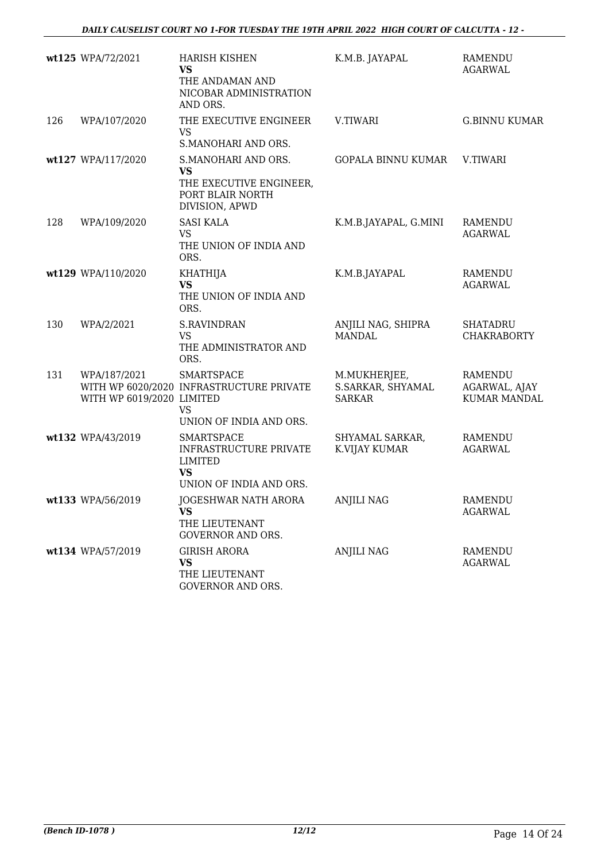|     | wt125 WPA/72/2021                         | <b>HARISH KISHEN</b><br><b>VS</b><br>THE ANDAMAN AND<br>NICOBAR ADMINISTRATION<br>AND ORS.            | K.M.B. JAYAPAL                                     | <b>RAMENDU</b><br><b>AGARWAL</b>                       |
|-----|-------------------------------------------|-------------------------------------------------------------------------------------------------------|----------------------------------------------------|--------------------------------------------------------|
| 126 | WPA/107/2020                              | THE EXECUTIVE ENGINEER<br><b>VS</b><br>S.MANOHARI AND ORS.                                            | <b>V.TIWARI</b>                                    | <b>G.BINNU KUMAR</b>                                   |
|     | wt127 WPA/117/2020                        | S.MANOHARI AND ORS.<br><b>VS</b><br>THE EXECUTIVE ENGINEER,<br>PORT BLAIR NORTH<br>DIVISION, APWD     | GOPALA BINNU KUMAR                                 | V.TIWARI                                               |
| 128 | WPA/109/2020                              | <b>SASI KALA</b><br><b>VS</b><br>THE UNION OF INDIA AND<br>ORS.                                       | K.M.B.JAYAPAL, G.MINI                              | RAMENDU<br><b>AGARWAL</b>                              |
|     | wt129 WPA/110/2020                        | <b>KHATHIJA</b><br><b>VS</b><br>THE UNION OF INDIA AND<br>ORS.                                        | K.M.B.JAYAPAL                                      | <b>RAMENDU</b><br><b>AGARWAL</b>                       |
| 130 | WPA/2/2021                                | <b>S.RAVINDRAN</b><br><b>VS</b><br>THE ADMINISTRATOR AND<br>ORS.                                      | ANJILI NAG, SHIPRA<br><b>MANDAL</b>                | <b>SHATADRU</b><br><b>CHAKRABORTY</b>                  |
| 131 | WPA/187/2021<br>WITH WP 6019/2020 LIMITED | <b>SMARTSPACE</b><br>WITH WP 6020/2020 INFRASTRUCTURE PRIVATE<br><b>VS</b><br>UNION OF INDIA AND ORS. | M.MUKHERJEE,<br>S.SARKAR, SHYAMAL<br><b>SARKAR</b> | <b>RAMENDU</b><br>AGARWAL, AJAY<br><b>KUMAR MANDAL</b> |
|     | wt132 WPA/43/2019                         | <b>SMARTSPACE</b><br>INFRASTRUCTURE PRIVATE<br><b>LIMITED</b><br><b>VS</b><br>UNION OF INDIA AND ORS. | SHYAMAL SARKAR,<br>K.VIJAY KUMAR                   | <b>RAMENDU</b><br><b>AGARWAL</b>                       |
|     | wt133 WPA/56/2019                         | JOGESHWAR NATH ARORA<br><b>VS</b><br>THE LIEUTENANT<br><b>GOVERNOR AND ORS.</b>                       | ANJILI NAG                                         | <b>RAMENDU</b><br><b>AGARWAL</b>                       |
|     | wt134 WPA/57/2019                         | <b>GIRISH ARORA</b><br><b>VS</b><br>THE LIEUTENANT<br>GOVERNOR AND ORS.                               | <b>ANJILI NAG</b>                                  | RAMENDU<br>AGARWAL                                     |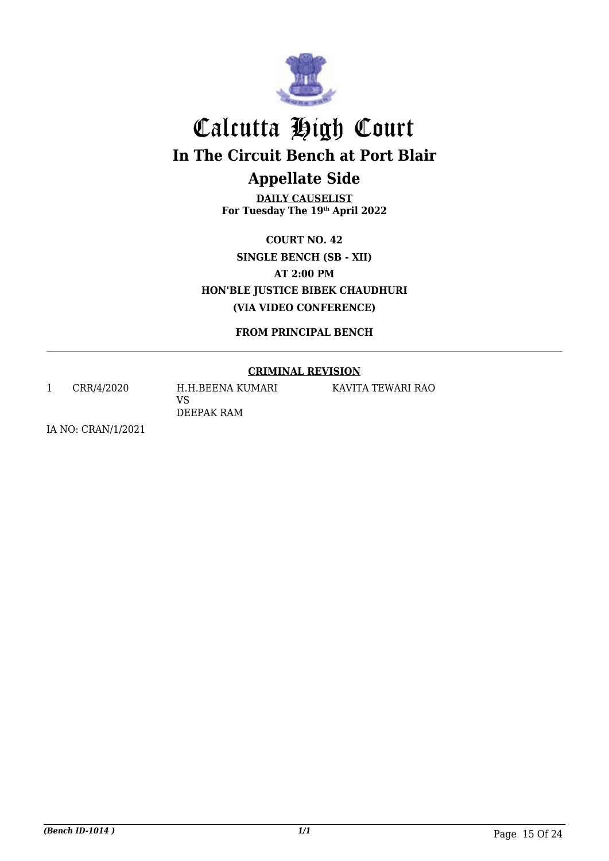

## Calcutta High Court **In The Circuit Bench at Port Blair Appellate Side**

**DAILY CAUSELIST For Tuesday The 19th April 2022**

**COURT NO. 42 SINGLE BENCH (SB - XII) AT 2:00 PM HON'BLE JUSTICE BIBEK CHAUDHURI (VIA VIDEO CONFERENCE)**

**FROM PRINCIPAL BENCH**

### **CRIMINAL REVISION**

1 CRR/4/2020 H.H.BEENA KUMARI VS DEEPAK RAM

KAVITA TEWARI RAO

IA NO: CRAN/1/2021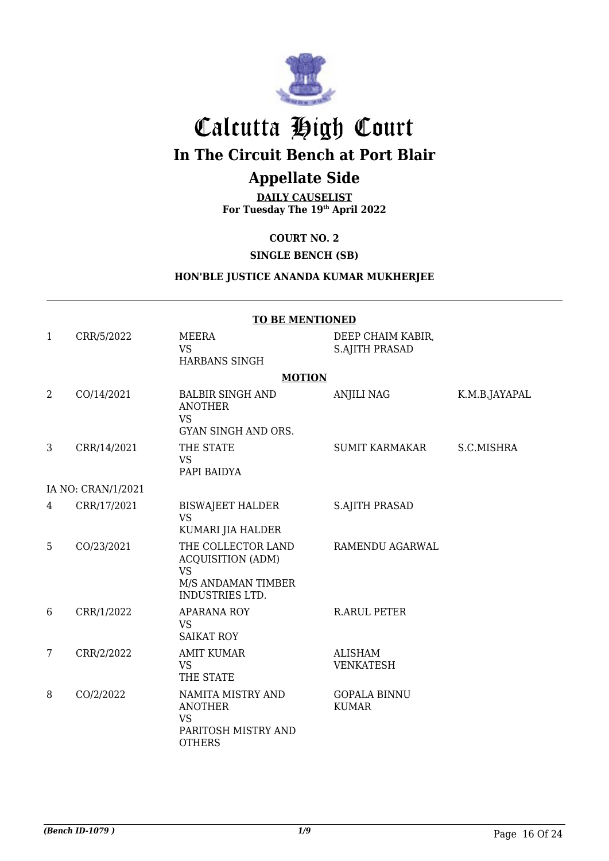

## Calcutta High Court **In The Circuit Bench at Port Blair**

## **Appellate Side**

**DAILY CAUSELIST For Tuesday The 19th April 2022**

**COURT NO. 2**

**SINGLE BENCH (SB)**

### **HON'BLE JUSTICE ANANDA KUMAR MUKHERJEE**

|              | <b>TO BE MENTIONED</b> |                                                                                                             |                                            |               |
|--------------|------------------------|-------------------------------------------------------------------------------------------------------------|--------------------------------------------|---------------|
| $\mathbf{1}$ | CRR/5/2022             | <b>MEERA</b><br><b>VS</b><br><b>HARBANS SINGH</b>                                                           | DEEP CHAIM KABIR,<br><b>S.AJITH PRASAD</b> |               |
|              |                        | <b>MOTION</b>                                                                                               |                                            |               |
| 2            | CO/14/2021             | <b>BALBIR SINGH AND</b><br><b>ANOTHER</b><br><b>VS</b><br><b>GYAN SINGH AND ORS.</b>                        | ANJILI NAG                                 | K.M.B.JAYAPAL |
| 3            | CRR/14/2021            | THE STATE<br><b>VS</b><br>PAPI BAIDYA                                                                       | <b>SUMIT KARMAKAR</b>                      | S.C.MISHRA    |
|              | IA NO: CRAN/1/2021     |                                                                                                             |                                            |               |
| 4            | CRR/17/2021            | <b>BISWAJEET HALDER</b><br><b>VS</b><br>KUMARI JIA HALDER                                                   | <b>S.AJITH PRASAD</b>                      |               |
| 5            | CO/23/2021             | THE COLLECTOR LAND<br><b>ACQUISITION (ADM)</b><br><b>VS</b><br>M/S ANDAMAN TIMBER<br><b>INDUSTRIES LTD.</b> | RAMENDU AGARWAL                            |               |
| 6            | CRR/1/2022             | <b>APARANA ROY</b><br><b>VS</b><br><b>SAIKAT ROY</b>                                                        | <b>R.ARUL PETER</b>                        |               |
| 7            | CRR/2/2022             | <b>AMIT KUMAR</b><br><b>VS</b><br>THE STATE                                                                 | <b>ALISHAM</b><br><b>VENKATESH</b>         |               |
| 8            | CO/2/2022              | NAMITA MISTRY AND<br><b>ANOTHER</b><br><b>VS</b><br>PARITOSH MISTRY AND<br><b>OTHERS</b>                    | <b>GOPALA BINNU</b><br><b>KUMAR</b>        |               |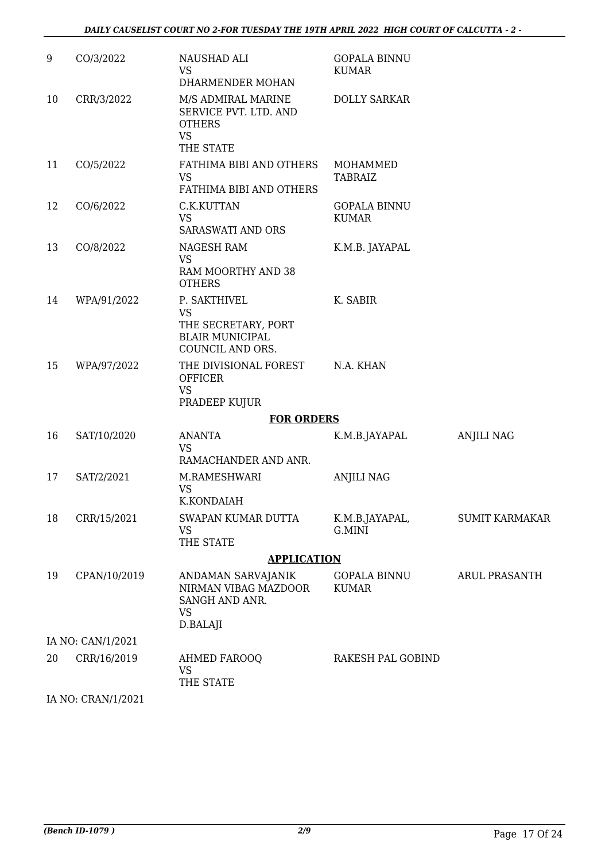| 9  | CO/3/2022          | NAUSHAD ALI<br><b>VS</b><br>DHARMENDER MOHAN                                                   | <b>GOPALA BINNU</b><br><b>KUMAR</b> |                       |
|----|--------------------|------------------------------------------------------------------------------------------------|-------------------------------------|-----------------------|
| 10 | CRR/3/2022         | M/S ADMIRAL MARINE<br>SERVICE PVT. LTD. AND<br><b>OTHERS</b><br><b>VS</b><br>THE STATE         | <b>DOLLY SARKAR</b>                 |                       |
| 11 | CO/5/2022          | FATHIMA BIBI AND OTHERS<br><b>VS</b><br>FATHIMA BIBI AND OTHERS                                | MOHAMMED<br><b>TABRAIZ</b>          |                       |
| 12 | CO/6/2022          | C.K.KUTTAN<br><b>VS</b><br><b>SARASWATI AND ORS</b>                                            | <b>GOPALA BINNU</b><br><b>KUMAR</b> |                       |
| 13 | CO/8/2022          | NAGESH RAM<br><b>VS</b><br>RAM MOORTHY AND 38<br><b>OTHERS</b>                                 | K.M.B. JAYAPAL                      |                       |
| 14 | WPA/91/2022        | P. SAKTHIVEL<br><b>VS</b><br>THE SECRETARY, PORT<br><b>BLAIR MUNICIPAL</b><br>COUNCIL AND ORS. | K. SABIR                            |                       |
| 15 | WPA/97/2022        | THE DIVISIONAL FOREST<br><b>OFFICER</b><br><b>VS</b>                                           | N.A. KHAN                           |                       |
|    |                    | PRADEEP KUJUR                                                                                  |                                     |                       |
| 16 | SAT/10/2020        | <b>FOR ORDERS</b><br><b>ANANTA</b>                                                             |                                     |                       |
|    |                    | <b>VS</b><br>RAMACHANDER AND ANR.                                                              | K.M.B.JAYAPAL                       | <b>ANJILI NAG</b>     |
| 17 | SAT/2/2021         | M.RAMESHWARI<br><b>VS</b><br>K.KONDAIAH                                                        | <b>ANJILI NAG</b>                   |                       |
| 18 | CRR/15/2021        | SWAPAN KUMAR DUTTA<br><b>VS</b><br>THE STATE                                                   | K.M.B.JAYAPAL,<br>G.MINI            | <b>SUMIT KARMAKAR</b> |
|    |                    | <b>APPLICATION</b>                                                                             |                                     |                       |
| 19 | CPAN/10/2019       | ANDAMAN SARVAJANIK<br>NIRMAN VIBAG MAZDOOR<br>SANGH AND ANR.<br><b>VS</b><br>D.BALAJI          | <b>GOPALA BINNU</b><br><b>KUMAR</b> | ARUL PRASANTH         |
|    | IA NO: CAN/1/2021  |                                                                                                |                                     |                       |
| 20 | CRR/16/2019        | <b>AHMED FAROOQ</b><br><b>VS</b><br>THE STATE                                                  | RAKESH PAL GOBIND                   |                       |
|    | IA NO: CRAN/1/2021 |                                                                                                |                                     |                       |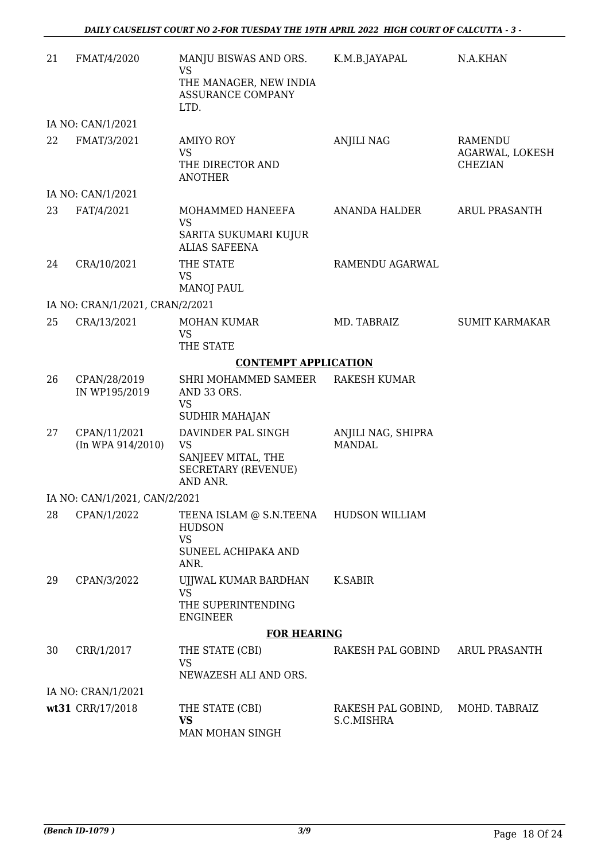| 21 | FMAT/4/2020                           | MANJU BISWAS AND ORS.<br>VS<br>THE MANAGER, NEW INDIA<br>ASSURANCE COMPANY<br>LTD.                  | K.M.B.JAYAPAL                       | N.A.KHAN                                     |
|----|---------------------------------------|-----------------------------------------------------------------------------------------------------|-------------------------------------|----------------------------------------------|
|    | IA NO: CAN/1/2021                     |                                                                                                     |                                     |                                              |
| 22 | FMAT/3/2021                           | <b>AMIYO ROY</b><br><b>VS</b><br>THE DIRECTOR AND<br><b>ANOTHER</b>                                 | <b>ANJILI NAG</b>                   | RAMENDU<br>AGARWAL, LOKESH<br><b>CHEZIAN</b> |
|    | IA NO: CAN/1/2021                     |                                                                                                     |                                     |                                              |
| 23 | FAT/4/2021                            | MOHAMMED HANEEFA<br><b>VS</b><br>SARITA SUKUMARI KUJUR<br><b>ALIAS SAFEENA</b>                      | ANANDA HALDER                       | <b>ARUL PRASANTH</b>                         |
| 24 | CRA/10/2021                           | THE STATE<br><b>VS</b><br><b>MANOJ PAUL</b>                                                         | RAMENDU AGARWAL                     |                                              |
|    | IA NO: CRAN/1/2021, CRAN/2/2021       |                                                                                                     |                                     |                                              |
| 25 | CRA/13/2021                           | <b>MOHAN KUMAR</b><br><b>VS</b><br>THE STATE                                                        | MD. TABRAIZ                         | <b>SUMIT KARMAKAR</b>                        |
|    |                                       | <b>CONTEMPT APPLICATION</b>                                                                         |                                     |                                              |
| 26 | CPAN/28/2019<br>IN WP195/2019         | SHRI MOHAMMED SAMEER<br>AND 33 ORS.<br><b>VS</b><br><b>SUDHIR MAHAJAN</b>                           | <b>RAKESH KUMAR</b>                 |                                              |
| 27 | CPAN/11/2021<br>$(In$ WPA $914/2010)$ | DAVINDER PAL SINGH<br><b>VS</b><br>SANJEEV MITAL, THE<br><b>SECRETARY (REVENUE)</b><br>AND ANR.     | ANJILI NAG, SHIPRA<br><b>MANDAL</b> |                                              |
|    | IA NO: CAN/1/2021, CAN/2/2021         |                                                                                                     |                                     |                                              |
| 28 | CPAN/1/2022                           | TEENA ISLAM @ S.N.TEENA HUDSON WILLIAM<br><b>HUDSON</b><br><b>VS</b><br>SUNEEL ACHIPAKA AND<br>ANR. |                                     |                                              |
| 29 | CPAN/3/2022                           | UJJWAL KUMAR BARDHAN<br>VS<br>THE SUPERINTENDING<br><b>ENGINEER</b>                                 | <b>K.SABIR</b>                      |                                              |
|    |                                       | <b>FOR HEARING</b>                                                                                  |                                     |                                              |
| 30 | CRR/1/2017                            | THE STATE (CBI)<br><b>VS</b><br>NEWAZESH ALI AND ORS.                                               | RAKESH PAL GOBIND                   | <b>ARUL PRASANTH</b>                         |
|    | IA NO: CRAN/1/2021                    |                                                                                                     |                                     |                                              |
|    | wt31 CRR/17/2018                      | THE STATE (CBI)<br><b>VS</b><br>MAN MOHAN SINGH                                                     | RAKESH PAL GOBIND,<br>S.C.MISHRA    | MOHD. TABRAIZ                                |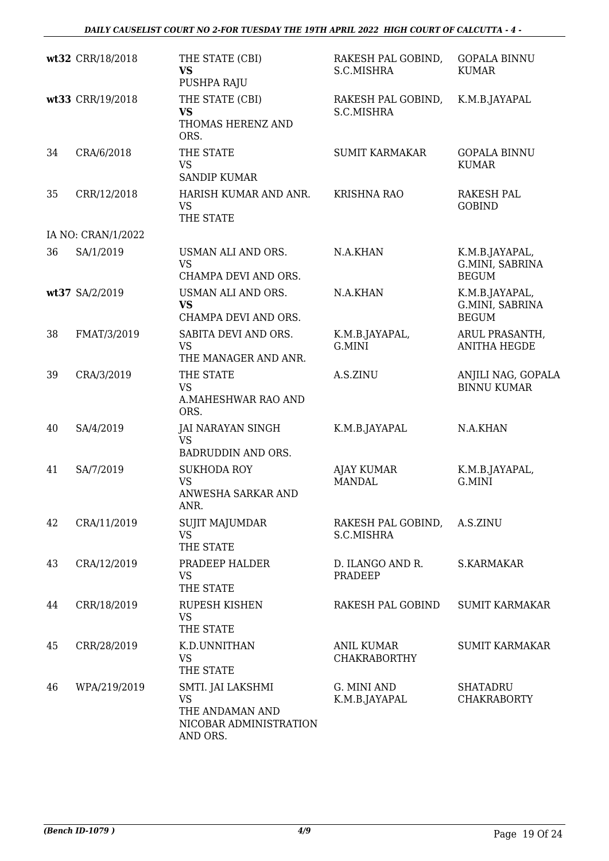*DAILY CAUSELIST COURT NO 2-FOR TUESDAY THE 19TH APRIL 2022 HIGH COURT OF CALCUTTA - 4 -* 

|    | wt32 CRR/18/2018   | THE STATE (CBI)<br><b>VS</b><br>PUSHPA RAJU                                             | RAKESH PAL GOBIND,<br>S.C.MISHRA         | <b>GOPALA BINNU</b><br><b>KUMAR</b>               |
|----|--------------------|-----------------------------------------------------------------------------------------|------------------------------------------|---------------------------------------------------|
|    | wt33 CRR/19/2018   | THE STATE (CBI)<br><b>VS</b><br>THOMAS HERENZ AND<br>ORS.                               | RAKESH PAL GOBIND,<br>S.C.MISHRA         | K.M.B.JAYAPAL                                     |
| 34 | CRA/6/2018         | THE STATE<br><b>VS</b><br><b>SANDIP KUMAR</b>                                           | <b>SUMIT KARMAKAR</b>                    | <b>GOPALA BINNU</b><br><b>KUMAR</b>               |
| 35 | CRR/12/2018        | HARISH KUMAR AND ANR.<br><b>VS</b><br>THE STATE                                         | <b>KRISHNA RAO</b>                       | <b>RAKESH PAL</b><br><b>GOBIND</b>                |
|    | IA NO: CRAN/1/2022 |                                                                                         |                                          |                                                   |
| 36 | SA/1/2019          | USMAN ALI AND ORS.<br><b>VS</b><br>CHAMPA DEVI AND ORS.                                 | N.A.KHAN                                 | K.M.B.JAYAPAL,<br>G.MINI, SABRINA<br><b>BEGUM</b> |
|    | wt37 SA/2/2019     | USMAN ALI AND ORS.<br><b>VS</b><br>CHAMPA DEVI AND ORS.                                 | N.A.KHAN                                 | K.M.B.JAYAPAL,<br>G.MINI, SABRINA<br><b>BEGUM</b> |
| 38 | FMAT/3/2019        | SABITA DEVI AND ORS.<br><b>VS</b><br>THE MANAGER AND ANR.                               | K.M.B.JAYAPAL,<br>G.MINI                 | ARUL PRASANTH,<br><b>ANITHA HEGDE</b>             |
| 39 | CRA/3/2019         | THE STATE<br>VS<br>A.MAHESHWAR RAO AND<br>ORS.                                          | A.S.ZINU                                 | ANJILI NAG, GOPALA<br><b>BINNU KUMAR</b>          |
| 40 | SA/4/2019          | <b>JAI NARAYAN SINGH</b><br><b>VS</b><br><b>BADRUDDIN AND ORS.</b>                      | K.M.B.JAYAPAL                            | N.A.KHAN                                          |
| 41 | SA/7/2019          | <b>SUKHODA ROY</b><br><b>VS</b><br>ANWESHA SARKAR AND<br>ANR.                           | <b>AJAY KUMAR</b><br><b>MANDAL</b>       | K.M.B.JAYAPAL,<br>G.MINI                          |
| 42 | CRA/11/2019        | <b>SUJIT MAJUMDAR</b><br><b>VS</b><br>THE STATE                                         | RAKESH PAL GOBIND,<br>S.C.MISHRA         | A.S.ZINU                                          |
| 43 | CRA/12/2019        | PRADEEP HALDER<br><b>VS</b><br>THE STATE                                                | D. ILANGO AND R.<br><b>PRADEEP</b>       | S.KARMAKAR                                        |
| 44 | CRR/18/2019        | <b>RUPESH KISHEN</b><br><b>VS</b><br>THE STATE                                          | RAKESH PAL GOBIND                        | <b>SUMIT KARMAKAR</b>                             |
| 45 | CRR/28/2019        | K.D.UNNITHAN<br><b>VS</b><br>THE STATE                                                  | <b>ANIL KUMAR</b><br><b>CHAKRABORTHY</b> | <b>SUMIT KARMAKAR</b>                             |
| 46 | WPA/219/2019       | SMTI. JAI LAKSHMI<br><b>VS</b><br>THE ANDAMAN AND<br>NICOBAR ADMINISTRATION<br>AND ORS. | G. MINI AND<br>K.M.B.JAYAPAL             | <b>SHATADRU</b><br><b>CHAKRABORTY</b>             |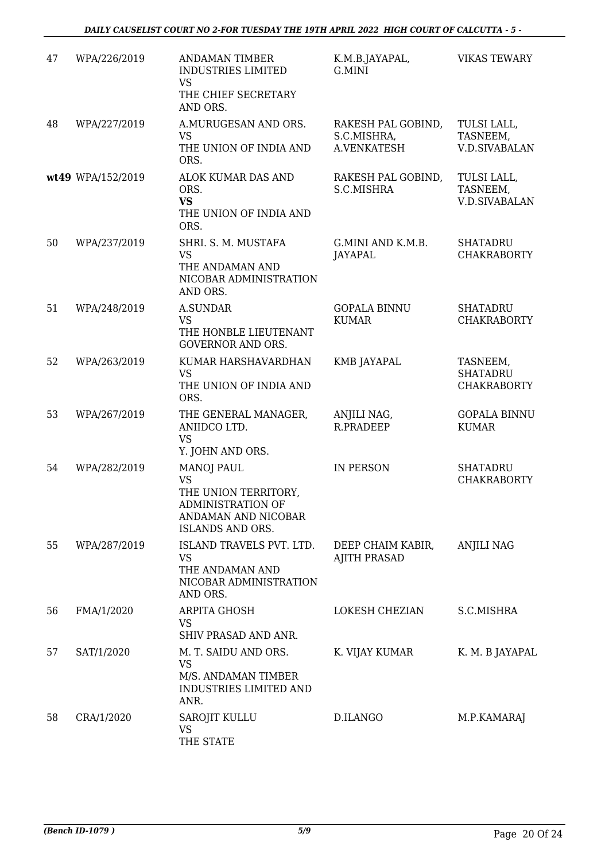| 47 | WPA/226/2019      | <b>ANDAMAN TIMBER</b><br>INDUSTRIES LIMITED<br><b>VS</b><br>THE CHIEF SECRETARY<br>AND ORS.                            | K.M.B.JAYAPAL,<br>G.MINI                         | <b>VIKAS TEWARY</b>                               |
|----|-------------------|------------------------------------------------------------------------------------------------------------------------|--------------------------------------------------|---------------------------------------------------|
| 48 | WPA/227/2019      | A.MURUGESAN AND ORS.<br><b>VS</b><br>THE UNION OF INDIA AND<br>ORS.                                                    | RAKESH PAL GOBIND,<br>S.C.MISHRA,<br>A.VENKATESH | TULSI LALL,<br>TASNEEM,<br><b>V.D.SIVABALAN</b>   |
|    | wt49 WPA/152/2019 | ALOK KUMAR DAS AND<br>ORS.<br><b>VS</b><br>THE UNION OF INDIA AND<br>ORS.                                              | RAKESH PAL GOBIND,<br>S.C.MISHRA                 | TULSI LALL,<br>TASNEEM,<br><b>V.D.SIVABALAN</b>   |
| 50 | WPA/237/2019      | SHRI. S. M. MUSTAFA<br><b>VS</b><br>THE ANDAMAN AND<br>NICOBAR ADMINISTRATION<br>AND ORS.                              | G.MINI AND K.M.B.<br><b>JAYAPAL</b>              | <b>SHATADRU</b><br><b>CHAKRABORTY</b>             |
| 51 | WPA/248/2019      | <b>A.SUNDAR</b><br><b>VS</b><br>THE HONBLE LIEUTENANT<br><b>GOVERNOR AND ORS.</b>                                      | <b>GOPALA BINNU</b><br><b>KUMAR</b>              | <b>SHATADRU</b><br><b>CHAKRABORTY</b>             |
| 52 | WPA/263/2019      | KUMAR HARSHAVARDHAN<br><b>VS</b><br>THE UNION OF INDIA AND<br>ORS.                                                     | KMB JAYAPAL                                      | TASNEEM,<br><b>SHATADRU</b><br><b>CHAKRABORTY</b> |
| 53 | WPA/267/2019      | THE GENERAL MANAGER,<br>ANIIDCO LTD.<br><b>VS</b><br>Y. JOHN AND ORS.                                                  | ANJILI NAG,<br>R.PRADEEP                         | <b>GOPALA BINNU</b><br><b>KUMAR</b>               |
| 54 | WPA/282/2019      | <b>MANOJ PAUL</b><br><b>VS</b><br>THE UNION TERRITORY,<br>ADMINISTRATION OF<br>ANDAMAN AND NICOBAR<br>ISLANDS AND ORS. | IN PERSON                                        | <b>SHATADRU</b><br><b>CHAKRABORTY</b>             |
| 55 | WPA/287/2019      | ISLAND TRAVELS PVT. LTD.<br><b>VS</b><br>THE ANDAMAN AND<br>NICOBAR ADMINISTRATION<br>AND ORS.                         | DEEP CHAIM KABIR,<br><b>AJITH PRASAD</b>         | <b>ANJILI NAG</b>                                 |
| 56 | FMA/1/2020        | ARPITA GHOSH<br>VS<br>SHIV PRASAD AND ANR.                                                                             | LOKESH CHEZIAN                                   | S.C.MISHRA                                        |
| 57 | SAT/1/2020        | M. T. SAIDU AND ORS.<br><b>VS</b><br>M/S. ANDAMAN TIMBER<br>INDUSTRIES LIMITED AND<br>ANR.                             | K. VIJAY KUMAR                                   | K. M. B JAYAPAL                                   |
| 58 | CRA/1/2020        | SAROJIT KULLU<br><b>VS</b><br>THE STATE                                                                                | D.ILANGO                                         | M.P.KAMARAJ                                       |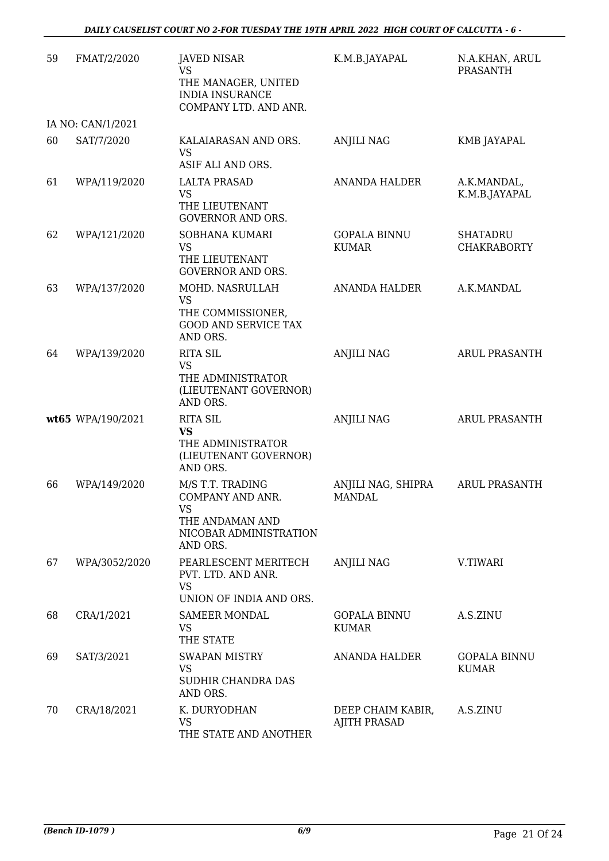| 59 | FMAT/2/2020       | <b>JAVED NISAR</b><br><b>VS</b><br>THE MANAGER, UNITED                                                     | K.M.B.JAYAPAL                            | N.A.KHAN, ARUL<br><b>PRASANTH</b>     |
|----|-------------------|------------------------------------------------------------------------------------------------------------|------------------------------------------|---------------------------------------|
|    |                   | <b>INDIA INSURANCE</b><br>COMPANY LTD. AND ANR.                                                            |                                          |                                       |
|    | IA NO: CAN/1/2021 |                                                                                                            |                                          |                                       |
| 60 | SAT/7/2020        | KALAIARASAN AND ORS.<br><b>VS</b><br>ASIF ALI AND ORS.                                                     | <b>ANJILI NAG</b>                        | KMB JAYAPAL                           |
| 61 | WPA/119/2020      | <b>LALTA PRASAD</b><br><b>VS</b><br>THE LIEUTENANT<br><b>GOVERNOR AND ORS.</b>                             | <b>ANANDA HALDER</b>                     | A.K.MANDAL,<br>K.M.B.JAYAPAL          |
| 62 | WPA/121/2020      | SOBHANA KUMARI<br><b>VS</b><br>THE LIEUTENANT<br><b>GOVERNOR AND ORS.</b>                                  | <b>GOPALA BINNU</b><br><b>KUMAR</b>      | <b>SHATADRU</b><br><b>CHAKRABORTY</b> |
| 63 | WPA/137/2020      | MOHD. NASRULLAH<br><b>VS</b><br>THE COMMISSIONER,<br><b>GOOD AND SERVICE TAX</b><br>AND ORS.               | ANANDA HALDER                            | A.K.MANDAL                            |
| 64 | WPA/139/2020      | <b>RITA SIL</b><br><b>VS</b><br>THE ADMINISTRATOR<br>(LIEUTENANT GOVERNOR)<br>AND ORS.                     | <b>ANJILI NAG</b>                        | <b>ARUL PRASANTH</b>                  |
|    | wt65 WPA/190/2021 | <b>RITA SIL</b><br><b>VS</b><br>THE ADMINISTRATOR<br>(LIEUTENANT GOVERNOR)<br>AND ORS.                     | <b>ANJILI NAG</b>                        | <b>ARUL PRASANTH</b>                  |
| 66 | WPA/149/2020      | M/S T.T. TRADING<br>COMPANY AND ANR.<br><b>VS</b><br>THE ANDAMAN AND<br>NICOBAR ADMINISTRATION<br>AND ORS. | ANJILI NAG, SHIPRA<br><b>MANDAL</b>      | <b>ARUL PRASANTH</b>                  |
| 67 | WPA/3052/2020     | PEARLESCENT MERITECH<br>PVT. LTD. AND ANR.<br><b>VS</b><br>UNION OF INDIA AND ORS.                         | <b>ANJILI NAG</b>                        | V.TIWARI                              |
| 68 | CRA/1/2021        | <b>SAMEER MONDAL</b><br><b>VS</b><br>THE STATE                                                             | <b>GOPALA BINNU</b><br><b>KUMAR</b>      | A.S.ZINU                              |
| 69 | SAT/3/2021        | <b>SWAPAN MISTRY</b><br><b>VS</b><br>SUDHIR CHANDRA DAS<br>AND ORS.                                        | <b>ANANDA HALDER</b>                     | <b>GOPALA BINNU</b><br><b>KUMAR</b>   |
| 70 | CRA/18/2021       | K. DURYODHAN<br><b>VS</b><br>THE STATE AND ANOTHER                                                         | DEEP CHAIM KABIR,<br><b>AJITH PRASAD</b> | A.S.ZINU                              |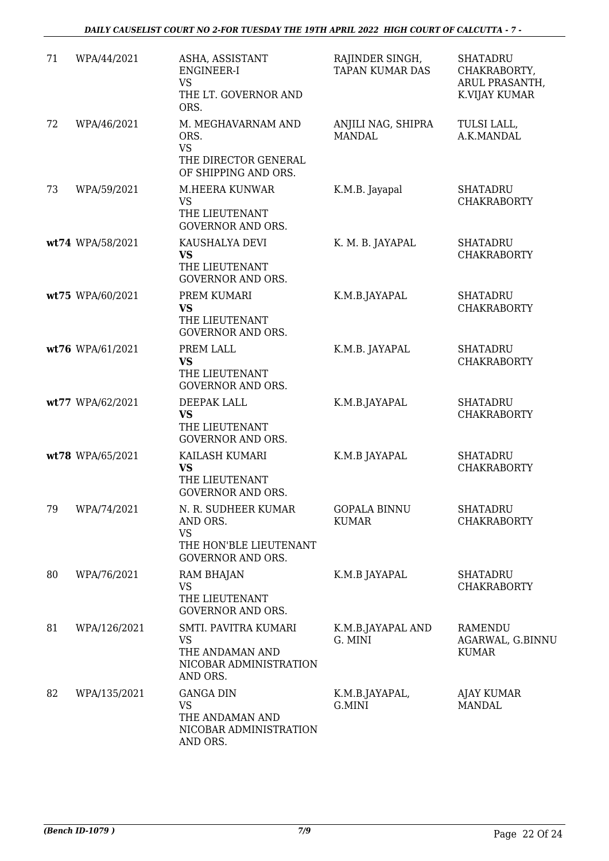| 71 | WPA/44/2021      | ASHA, ASSISTANT<br>ENGINEER-I<br><b>VS</b><br>THE LT. GOVERNOR AND<br>ORS.                         | RAJINDER SINGH,<br><b>TAPAN KUMAR DAS</b> | <b>SHATADRU</b><br>CHAKRABORTY,<br>ARUL PRASANTH,<br>K.VIJAY KUMAR |
|----|------------------|----------------------------------------------------------------------------------------------------|-------------------------------------------|--------------------------------------------------------------------|
| 72 | WPA/46/2021      | M. MEGHAVARNAM AND<br>ORS.<br><b>VS</b><br>THE DIRECTOR GENERAL<br>OF SHIPPING AND ORS.            | ANJILI NAG, SHIPRA<br><b>MANDAL</b>       | TULSI LALL,<br>A.K.MANDAL                                          |
| 73 | WPA/59/2021      | M.HEERA KUNWAR<br><b>VS</b><br>THE LIEUTENANT<br><b>GOVERNOR AND ORS.</b>                          | K.M.B. Jayapal                            | <b>SHATADRU</b><br><b>CHAKRABORTY</b>                              |
|    | wt74 WPA/58/2021 | KAUSHALYA DEVI<br><b>VS</b><br>THE LIEUTENANT<br><b>GOVERNOR AND ORS.</b>                          | K. M. B. JAYAPAL                          | <b>SHATADRU</b><br><b>CHAKRABORTY</b>                              |
|    | wt75 WPA/60/2021 | PREM KUMARI<br><b>VS</b><br>THE LIEUTENANT<br><b>GOVERNOR AND ORS.</b>                             | K.M.B.JAYAPAL                             | <b>SHATADRU</b><br><b>CHAKRABORTY</b>                              |
|    | wt76 WPA/61/2021 | PREM LALL<br><b>VS</b><br>THE LIEUTENANT<br><b>GOVERNOR AND ORS.</b>                               | K.M.B. JAYAPAL                            | <b>SHATADRU</b><br><b>CHAKRABORTY</b>                              |
|    | wt77 WPA/62/2021 | DEEPAK LALL<br><b>VS</b><br>THE LIEUTENANT<br><b>GOVERNOR AND ORS.</b>                             | K.M.B.JAYAPAL                             | <b>SHATADRU</b><br><b>CHAKRABORTY</b>                              |
|    | wt78 WPA/65/2021 | KAILASH KUMARI<br><b>VS</b><br>THE LIEUTENANT<br><b>GOVERNOR AND ORS.</b>                          | K.M.B JAYAPAL                             | <b>SHATADRU</b><br><b>CHAKRABORTY</b>                              |
| 79 | WPA/74/2021      | N. R. SUDHEER KUMAR<br>AND ORS.<br><b>VS</b><br>THE HON'BLE LIEUTENANT<br><b>GOVERNOR AND ORS.</b> | <b>GOPALA BINNU</b><br><b>KUMAR</b>       | <b>SHATADRU</b><br><b>CHAKRABORTY</b>                              |
| 80 | WPA/76/2021      | RAM BHAJAN<br><b>VS</b><br>THE LIEUTENANT<br><b>GOVERNOR AND ORS.</b>                              | K.M.B JAYAPAL                             | <b>SHATADRU</b><br><b>CHAKRABORTY</b>                              |
| 81 | WPA/126/2021     | SMTI. PAVITRA KUMARI<br><b>VS</b><br>THE ANDAMAN AND<br>NICOBAR ADMINISTRATION<br>AND ORS.         | K.M.B.JAYAPAL AND<br>G. MINI              | <b>RAMENDU</b><br>AGARWAL, G.BINNU<br><b>KUMAR</b>                 |
| 82 | WPA/135/2021     | <b>GANGA DIN</b><br>VS<br>THE ANDAMAN AND<br>NICOBAR ADMINISTRATION<br>AND ORS.                    | K.M.B.JAYAPAL,<br>G.MINI                  | AJAY KUMAR<br><b>MANDAL</b>                                        |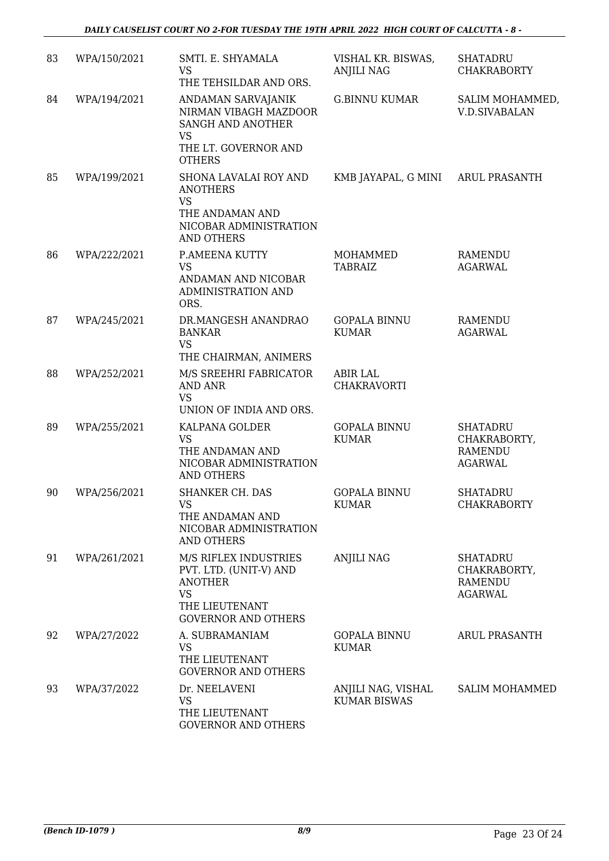| 83 | WPA/150/2021 | SMTI. E. SHYAMALA<br><b>VS</b><br>THE TEHSILDAR AND ORS.                                                                       | VISHAL KR. BISWAS,<br><b>ANJILI NAG</b>   | <b>SHATADRU</b><br><b>CHAKRABORTY</b>                               |
|----|--------------|--------------------------------------------------------------------------------------------------------------------------------|-------------------------------------------|---------------------------------------------------------------------|
| 84 | WPA/194/2021 | ANDAMAN SARVAJANIK<br>NIRMAN VIBAGH MAZDOOR<br>SANGH AND ANOTHER<br><b>VS</b><br>THE LT. GOVERNOR AND<br><b>OTHERS</b>         | <b>G.BINNU KUMAR</b>                      | SALIM MOHAMMED,<br><b>V.D.SIVABALAN</b>                             |
| 85 | WPA/199/2021 | SHONA LAVALAI ROY AND<br><b>ANOTHERS</b><br><b>VS</b><br>THE ANDAMAN AND<br>NICOBAR ADMINISTRATION<br><b>AND OTHERS</b>        | KMB JAYAPAL, G MINI                       | <b>ARUL PRASANTH</b>                                                |
| 86 | WPA/222/2021 | P.AMEENA KUTTY<br><b>VS</b><br>ANDAMAN AND NICOBAR<br><b>ADMINISTRATION AND</b><br>ORS.                                        | MOHAMMED<br><b>TABRAIZ</b>                | <b>RAMENDU</b><br><b>AGARWAL</b>                                    |
| 87 | WPA/245/2021 | DR.MANGESH ANANDRAO<br><b>BANKAR</b><br><b>VS</b><br>THE CHAIRMAN, ANIMERS                                                     | <b>GOPALA BINNU</b><br><b>KUMAR</b>       | <b>RAMENDU</b><br><b>AGARWAL</b>                                    |
| 88 | WPA/252/2021 | M/S SREEHRI FABRICATOR<br><b>AND ANR</b><br><b>VS</b><br>UNION OF INDIA AND ORS.                                               | <b>ABIR LAL</b><br>CHAKRAVORTI            |                                                                     |
| 89 | WPA/255/2021 | KALPANA GOLDER<br><b>VS</b><br>THE ANDAMAN AND<br>NICOBAR ADMINISTRATION<br><b>AND OTHERS</b>                                  | <b>GOPALA BINNU</b><br><b>KUMAR</b>       | <b>SHATADRU</b><br>CHAKRABORTY,<br><b>RAMENDU</b><br><b>AGARWAL</b> |
| 90 | WPA/256/2021 | <b>SHANKER CH. DAS</b><br>VS  <br>THE ANDAMAN AND<br>NICOBAR ADMINISTRATION<br><b>AND OTHERS</b>                               | <b>GOPALA BINNU</b><br><b>KUMAR</b>       | <b>SHATADRU</b><br><b>CHAKRABORTY</b>                               |
| 91 | WPA/261/2021 | M/S RIFLEX INDUSTRIES<br>PVT. LTD. (UNIT-V) AND<br><b>ANOTHER</b><br><b>VS</b><br>THE LIEUTENANT<br><b>GOVERNOR AND OTHERS</b> | <b>ANJILI NAG</b>                         | <b>SHATADRU</b><br>CHAKRABORTY,<br><b>RAMENDU</b><br><b>AGARWAL</b> |
| 92 | WPA/27/2022  | A. SUBRAMANIAM<br><b>VS</b><br>THE LIEUTENANT<br><b>GOVERNOR AND OTHERS</b>                                                    | <b>GOPALA BINNU</b><br><b>KUMAR</b>       | <b>ARUL PRASANTH</b>                                                |
| 93 | WPA/37/2022  | Dr. NEELAVENI<br><b>VS</b><br>THE LIEUTENANT<br><b>GOVERNOR AND OTHERS</b>                                                     | ANJILI NAG, VISHAL<br><b>KUMAR BISWAS</b> | <b>SALIM MOHAMMED</b>                                               |